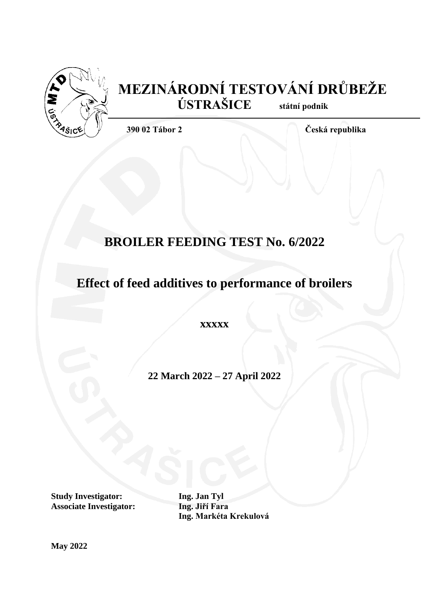

# **MEZINÁRODNÍ TESTOVÁNÍ DRŮBEŽE ÚSTRAŠICE státní podnik**

**390 02 Tábor 2 Česká republika**

# **BROILER FEEDING TEST No. 6/2022**

# **Effect of feed additives to performance of broilers**

**xxxxx**

**22 March 2022 – 27 April 2022**

**Study Investigator: Ing. Jan Tyl Associate Investigator: Ing. Jiří Fara**

**Ing. Markéta Krekulová**

**May 2022**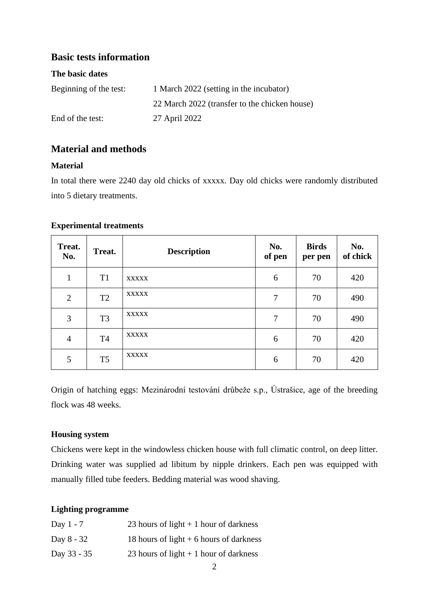# **Basic tests information**

## **The basic dates**

| Beginning of the test: | 1 March 2022 (setting in the incubator)       |
|------------------------|-----------------------------------------------|
|                        | 22 March 2022 (transfer to the chicken house) |
| End of the test:       | 27 April 2022                                 |

# **Material and methods**

## **Material**

In total there were 2240 day old chicks of xxxxx. Day old chicks were randomly distributed into 5 dietary treatments.

## **Experimental treatments**

| Treat.<br>No.  | Treat.         | <b>Description</b> | No.<br>of pen  | <b>Birds</b><br>per pen | No.<br>of chick |
|----------------|----------------|--------------------|----------------|-------------------------|-----------------|
| $\mathbf{1}$   | T <sub>1</sub> | <b>XXXXX</b>       | 6              | 70                      | 420             |
| $\overline{2}$ | T <sub>2</sub> | <b>XXXXX</b>       | 7              | 70                      | 490             |
| 3              | T <sub>3</sub> | <b>XXXXX</b>       | $\overline{7}$ | 70                      | 490             |
| $\overline{4}$ | T <sub>4</sub> | <b>XXXXX</b>       | 6              | 70                      | 420             |
| 5              | T <sub>5</sub> | <b>XXXXX</b>       | 6              | 70                      | 420             |

Origin of hatching eggs: Mezinárodní testování drůbeže s.p., Ústrašice, age of the breeding flock was 48 weeks.

### **Housing system**

Chickens were kept in the windowless chicken house with full climatic control, on deep litter. Drinking water was supplied ad libitum by nipple drinkers. Each pen was equipped with manually filled tube feeders. Bedding material was wood shaving.

## **Lighting programme**

| Day $1 - 7$ | 23 hours of light $+1$ hour of darkness  |
|-------------|------------------------------------------|
| Day 8 - 32  | 18 hours of light $+6$ hours of darkness |
| Day 33 - 35 | 23 hours of light $+1$ hour of darkness  |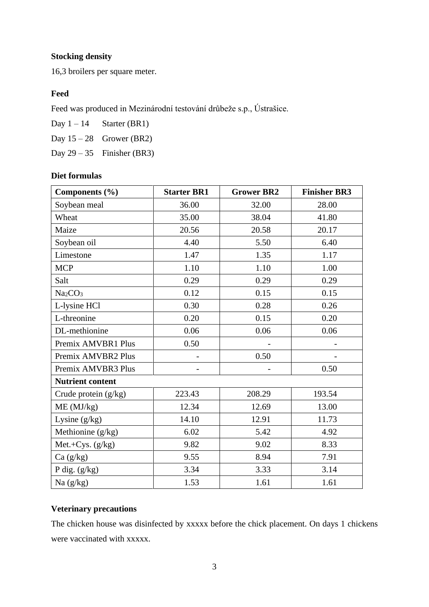# **Stocking density**

16,3 broilers per square meter.

## **Feed**

Feed was produced in Mezinárodní testování drůbeže s.p., Ústrašice.

Day  $1 - 14$  Starter (BR1) Day  $15 - 28$  Grower (BR2) Day  $29 - 35$  Finisher (BR3)

### **Diet formulas**

| Components (%)                  | <b>Starter BR1</b> | <b>Grower BR2</b> | <b>Finisher BR3</b> |
|---------------------------------|--------------------|-------------------|---------------------|
| Soybean meal                    | 36.00              | 32.00             | 28.00               |
| Wheat                           | 35.00              | 38.04             | 41.80               |
| Maize                           | 20.56              | 20.58             | 20.17               |
| Soybean oil                     | 4.40               | 5.50              | 6.40                |
| Limestone                       | 1.47               | 1.35              | 1.17                |
| <b>MCP</b>                      | 1.10               | 1.10              | 1.00                |
| Salt                            | 0.29               | 0.29              | 0.29                |
| Na <sub>2</sub> CO <sub>3</sub> | 0.12               | 0.15              | 0.15                |
| L-lysine HCl                    | 0.30               | 0.28              | 0.26                |
| L-threonine                     | 0.20               | 0.15              | 0.20                |
| DL-methionine                   | 0.06               | 0.06              | 0.06                |
| Premix AMVBR1 Plus              | 0.50               |                   |                     |
| Premix AMVBR2 Plus              |                    | 0.50              |                     |
| Premix AMVBR3 Plus              |                    |                   | 0.50                |
| <b>Nutrient content</b>         |                    |                   |                     |
| Crude protein (g/kg)            | 223.43             | 208.29            | 193.54              |
| ME (MJ/kg)                      | 12.34              | 12.69             | 13.00               |
| Lysine $(g/kg)$                 | 14.10              | 12.91             | 11.73               |
| Methionine (g/kg)               | 6.02               | 5.42              | 4.92                |
| Met.+Cys. (g/kg)                | 9.82               | 9.02              | 8.33                |
| Ca (g/kg)                       | 9.55               | 8.94              | 7.91                |
| P dig. $(g/kg)$                 | 3.34               | 3.33              | 3.14                |
| Na $(g/kg)$                     | 1.53               | 1.61              | 1.61                |

### **Veterinary precautions**

The chicken house was disinfected by xxxxx before the chick placement. On days 1 chickens were vaccinated with xxxxx.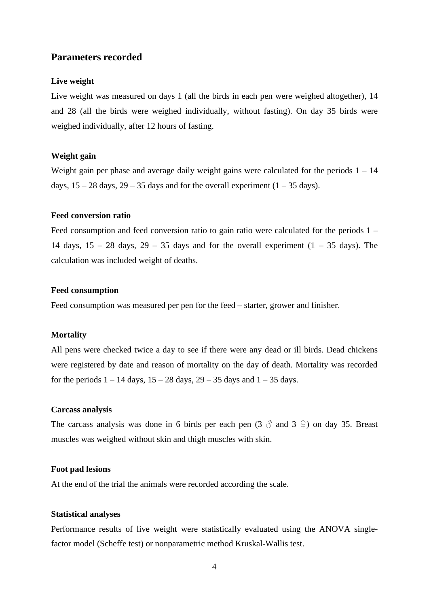### **Parameters recorded**

### **Live weight**

Live weight was measured on days 1 (all the birds in each pen were weighed altogether), 14 and 28 (all the birds were weighed individually, without fasting). On day 35 birds were weighed individually, after 12 hours of fasting.

### **Weight gain**

Weight gain per phase and average daily weight gains were calculated for the periods  $1 - 14$ days,  $15 - 28$  days,  $29 - 35$  days and for the overall experiment  $(1 - 35$  days).

### **Feed conversion ratio**

Feed consumption and feed conversion ratio to gain ratio were calculated for the periods 1 – 14 days,  $15 - 28$  days,  $29 - 35$  days and for the overall experiment  $(1 - 35$  days). The calculation was included weight of deaths.

### **Feed consumption**

Feed consumption was measured per pen for the feed – starter, grower and finisher.

### **Mortality**

All pens were checked twice a day to see if there were any dead or ill birds. Dead chickens were registered by date and reason of mortality on the day of death. Mortality was recorded for the periods  $1 - 14$  days,  $15 - 28$  days,  $29 - 35$  days and  $1 - 35$  days.

### **Carcass analysis**

The carcass analysis was done in 6 birds per each pen  $(3 \text{ } \hat{\circ} \text{ } )$  and  $(3 \text{ } \hat{\circ} \text{ } )$  on day 35. Breast muscles was weighed without skin and thigh muscles with skin.

### **Foot pad lesions**

At the end of the trial the animals were recorded according the scale.

### **Statistical analyses**

Performance results of live weight were statistically evaluated using the ANOVA singlefactor model (Scheffe test) or nonparametric method Kruskal-Wallis test.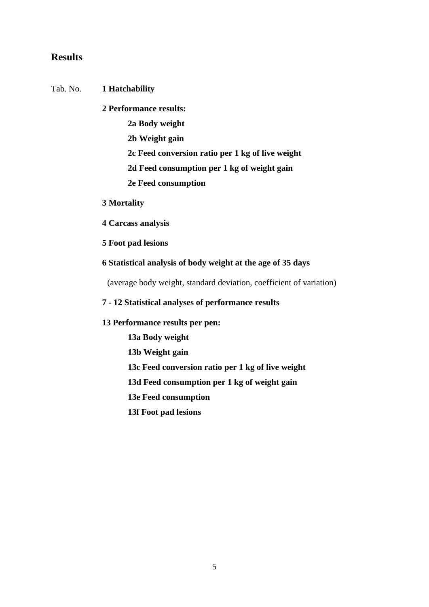## **Results**

### Tab. No. **1 Hatchability**

**2 Performance results:**

- **2a Body weight**
- **2b Weight gain**
- **2c Feed conversion ratio per 1 kg of live weight**
- **2d Feed consumption per 1 kg of weight gain**
- **2e Feed consumption**

### **3 Mortality**

- **4 Carcass analysis**
- **5 Foot pad lesions**

### **6 Statistical analysis of body weight at the age of 35 days**

(average body weight, standard deviation, coefficient of variation)

### **7 - 12 Statistical analyses of performance results**

### **13 Performance results per pen:**

- **13a Body weight**
- **13b Weight gain**
- **13c Feed conversion ratio per 1 kg of live weight**
- **13d Feed consumption per 1 kg of weight gain**
- **13e Feed consumption**
- **13f Foot pad lesions**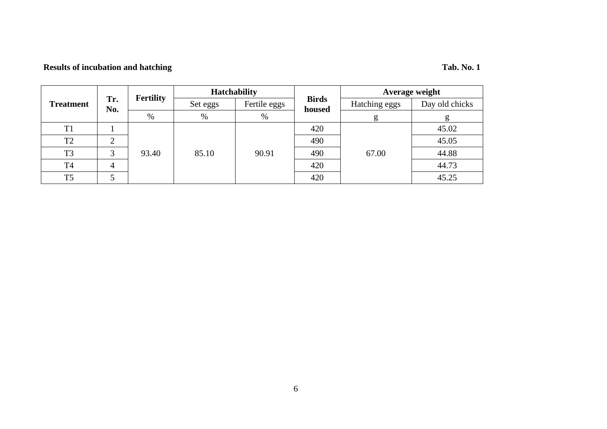# **Results of incubation and hatching Tab. No. 1**

|                  |            | <b>Fertility</b> | <b>Hatchability</b> |              |                        | Average weight |                |
|------------------|------------|------------------|---------------------|--------------|------------------------|----------------|----------------|
| <b>Treatment</b> | Tr.<br>No. |                  | Set eggs            | Fertile eggs | <b>Birds</b><br>housed | Hatching eggs  | Day old chicks |
|                  |            | %                | %                   | %            |                        | g              | g              |
| T1               |            |                  |                     |              | 420                    | 67.00          | 45.02          |
| T <sub>2</sub>   | ⌒          |                  |                     | 90.91        | 490                    |                | 45.05          |
| T <sub>3</sub>   | 3          | 93.40            | 85.10               |              | 490                    |                | 44.88          |
| T <sub>4</sub>   |            |                  |                     |              | 420                    |                | 44.73          |
| T <sub>5</sub>   |            |                  |                     |              | 420                    |                | 45.25          |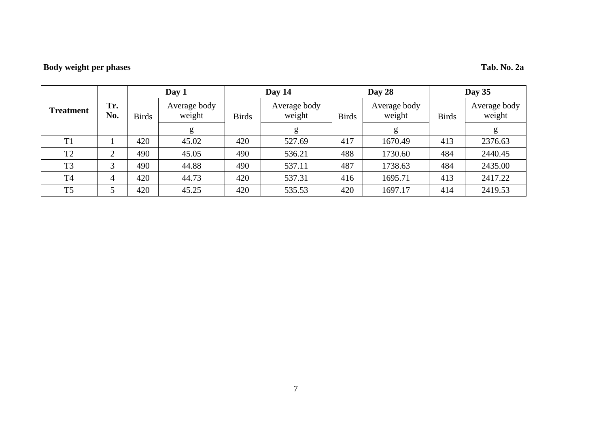# **Body weight per phases Tab. No. 2a**

|                |                | Day 1        |                        |              | Day 14                 |              | Day 28                 |              | Day $35$               |  |
|----------------|----------------|--------------|------------------------|--------------|------------------------|--------------|------------------------|--------------|------------------------|--|
| Treatment      | Tr.<br>No.     | <b>Birds</b> | Average body<br>weight | <b>Birds</b> | Average body<br>weight | <b>Birds</b> | Average body<br>weight | <b>Birds</b> | Average body<br>weight |  |
|                |                |              | g                      |              | g                      |              | g                      |              | g                      |  |
| T1             |                | 420          | 45.02                  | 420          | 527.69                 | 417          | 1670.49                | 413          | 2376.63                |  |
| T <sub>2</sub> | ◠              | 490          | 45.05                  | 490          | 536.21                 | 488          | 1730.60                | 484          | 2440.45                |  |
| T <sub>3</sub> | 3              | 490          | 44.88                  | 490          | 537.11                 | 487          | 1738.63                | 484          | 2435.00                |  |
| <b>T4</b>      | $\overline{4}$ | 420          | 44.73                  | 420          | 537.31                 | 416          | 1695.71                | 413          | 2417.22                |  |
| T <sub>5</sub> |                | 420          | 45.25                  | 420          | 535.53                 | 420          | 1697.17                | 414          | 2419.53                |  |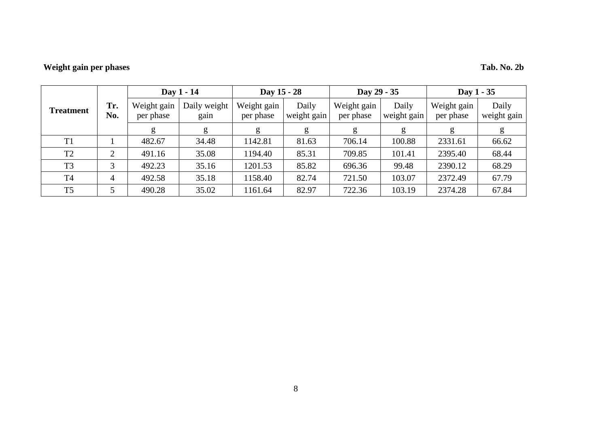# **Weight gain per phases Tab. No. 2b**

|                |                |                          | Day 1 - 14           | Day 15 - 28              |                      | Day 29 - 35              |                      | Day 1 - 35               |                      |
|----------------|----------------|--------------------------|----------------------|--------------------------|----------------------|--------------------------|----------------------|--------------------------|----------------------|
| Treatment      | Tr.<br>No.     | Weight gain<br>per phase | Daily weight<br>gain | Weight gain<br>per phase | Daily<br>weight gain | Weight gain<br>per phase | Daily<br>weight gain | Weight gain<br>per phase | Daily<br>weight gain |
|                |                | g                        | g                    | g                        | g                    | g                        | g                    | g                        | g                    |
| T <sub>1</sub> |                | 482.67                   | 34.48                | 1142.81                  | 81.63                | 706.14                   | 100.88               | 2331.61                  | 66.62                |
| T <sub>2</sub> | ⌒              | 491.16                   | 35.08                | 1194.40                  | 85.31                | 709.85                   | 101.41               | 2395.40                  | 68.44                |
| T <sub>3</sub> | 3              | 492.23                   | 35.16                | 1201.53                  | 85.82                | 696.36                   | 99.48                | 2390.12                  | 68.29                |
| T <sub>4</sub> | $\overline{4}$ | 492.58                   | 35.18                | 1158.40                  | 82.74                | 721.50                   | 103.07               | 2372.49                  | 67.79                |
| T <sub>5</sub> |                | 490.28                   | 35.02                | 1161.64                  | 82.97                | 722.36                   | 103.19               | 2374.28                  | 67.84                |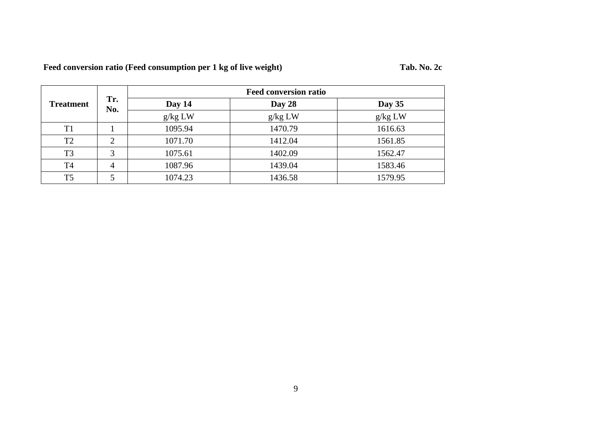| Feed conversion ratio (Feed consumption per 1 kg of live weight) |  |
|------------------------------------------------------------------|--|
|                                                                  |  |

|                  |            |         | <b>Feed conversion ratio</b> |         |
|------------------|------------|---------|------------------------------|---------|
| <b>Treatment</b> | Tr.<br>No. | Day 14  | Day 28                       | Day 35  |
|                  |            | g/kg LW | g/kg LW                      | g/kg LW |
| T <sub>1</sub>   |            | 1095.94 | 1470.79                      | 1616.63 |
| T2               | ⌒          | 1071.70 | 1412.04                      | 1561.85 |
| T <sub>3</sub>   | 3          | 1075.61 | 1402.09                      | 1562.47 |
| <b>T4</b>        | 4          | 1087.96 | 1439.04                      | 1583.46 |
| T <sub>5</sub>   |            | 1074.23 | 1436.58                      | 1579.95 |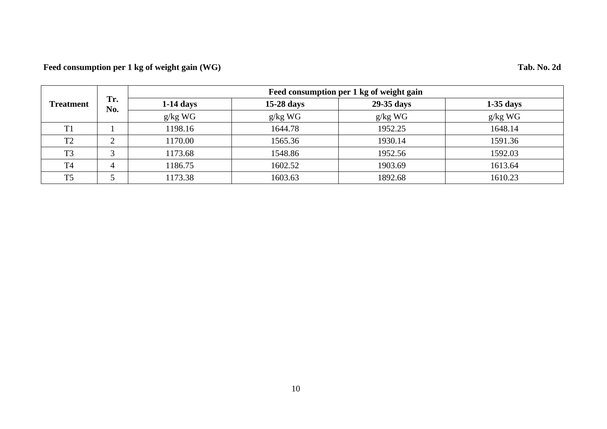# **Feed consumption per 1 kg of weight gain (WG) Tab. No. 2d**

|                  |              | Feed consumption per 1 kg of weight gain |            |            |             |  |  |
|------------------|--------------|------------------------------------------|------------|------------|-------------|--|--|
| <b>Treatment</b> | Tr.<br>No.   | $1-14$ days                              | 15-28 days | 29-35 days | $1-35$ days |  |  |
|                  |              | $g/kg$ WG                                | $g/kg$ WG  | $g/kg$ WG  | $g/kg$ WG   |  |  |
| T1               |              | 1198.16                                  | 1644.78    | 1952.25    | 1648.14     |  |  |
| T <sub>2</sub>   | $\bigcap$    | 1170.00                                  | 1565.36    | 1930.14    | 1591.36     |  |  |
| T <sub>3</sub>   | $\mathbf{c}$ | 1173.68                                  | 1548.86    | 1952.56    | 1592.03     |  |  |
| T <sub>4</sub>   | 4            | 1186.75                                  | 1602.52    | 1903.69    | 1613.64     |  |  |
| T <sub>5</sub>   |              | 1173.38                                  | 1603.63    | 1892.68    | 1610.23     |  |  |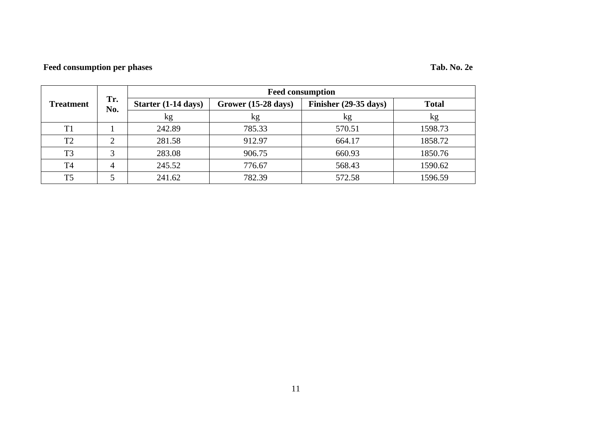# **Feed consumption per phases Tab. No. 2e**

|                  | Tr.<br>No. | <b>Feed consumption</b> |                                                        |        |              |  |
|------------------|------------|-------------------------|--------------------------------------------------------|--------|--------------|--|
| <b>Treatment</b> |            | Starter (1-14 days)     | Grower (15-28 days)<br>Finisher $(29-35 \text{ days})$ |        | <b>Total</b> |  |
|                  |            | kg                      | kg                                                     | kg     | kg           |  |
| T1               |            | 242.89                  | 785.33                                                 | 570.51 | 1598.73      |  |
| T <sub>2</sub>   |            | 281.58                  | 912.97                                                 | 664.17 | 1858.72      |  |
| T <sub>3</sub>   | 3          | 283.08                  | 906.75                                                 | 660.93 | 1850.76      |  |
| T <sub>4</sub>   | 4          | 245.52                  | 776.67                                                 | 568.43 | 1590.62      |  |
| T <sub>5</sub>   |            | 241.62                  | 782.39                                                 | 572.58 | 1596.59      |  |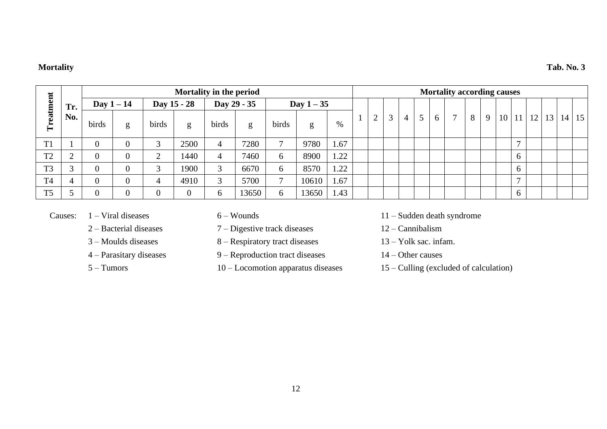### **Mortality Tab. No. 3**

|                |        |                |                |                | Mortality in the period |             |       |                |            |      |          |                |   |   |   | <b>Mortality according causes</b> |   |   |                 |                |    |    |    |                 |
|----------------|--------|----------------|----------------|----------------|-------------------------|-------------|-------|----------------|------------|------|----------|----------------|---|---|---|-----------------------------------|---|---|-----------------|----------------|----|----|----|-----------------|
|                | Tr.    | Day $1-14$     |                |                | Day 15 - 28             | Day 29 - 35 |       |                | Day $1-35$ |      |          |                |   |   |   |                                   |   |   |                 |                |    |    |    |                 |
| Treatment      | No.    | birds          | g              | birds          | g                       | birds       | g     | birds          | g          | $\%$ | $\Omega$ | $\mathfrak{Z}$ | 4 | 5 | 6 | $\mathcal{I}$                     | 8 | 9 | 10 <sup>1</sup> | <sup>11</sup>  | 12 | 13 | 14 | 15 <sup>1</sup> |
| T <sub>1</sub> |        | $\overline{0}$ |                | 3              | 2500                    | 4           | 7280  | $\overline{ }$ | 9780       | 1.67 |          |                |   |   |   |                                   |   |   |                 | $\overline{ }$ |    |    |    |                 |
| T <sub>2</sub> |        | $\overline{0}$ | $\overline{0}$ | $\bigcap$      | 1440                    | 4           | 7460  |                | 8900       | 1.22 |          |                |   |   |   |                                   |   |   |                 | 6              |    |    |    |                 |
| T <sub>3</sub> | $\sim$ | $\overline{0}$ | $\overline{0}$ | 3              | 1900                    | $\sim$      | 6670  |                | 8570       | 1.22 |          |                |   |   |   |                                   |   |   |                 | <sub>0</sub>   |    |    |    |                 |
| T <sub>4</sub> |        | $\overline{0}$ | $\overline{0}$ | $\overline{4}$ | 4910                    | $\sim$      | 5700  |                | 10610      | 1.67 |          |                |   |   |   |                                   |   |   |                 | $\overline{ }$ |    |    |    |                 |
| T <sub>5</sub> |        | $\overline{0}$ | $\overline{0}$ | $\theta$       |                         |             | 13650 |                | 13650      | 1.43 |          |                |   |   |   |                                   |   |   |                 | 6              |    |    |    |                 |

- 
- 2 Bacterial diseases 7 Digestive track diseases 12 Cannibalism
- 
- 
- 
- 
- 3 Moulds diseases 8 Respiratory tract diseases 13 Yolk sac. infam.
- 4 Parasitary diseases 9 Reproduction tract diseases 14 Other causes
	-
- Causes: 1 Viral diseases 6 Wounds 11 Sudden death syndrome
	-
	-
	-
	- 5 Tumors 10 Locomotion apparatus diseases 15 Culling (excluded of calculation)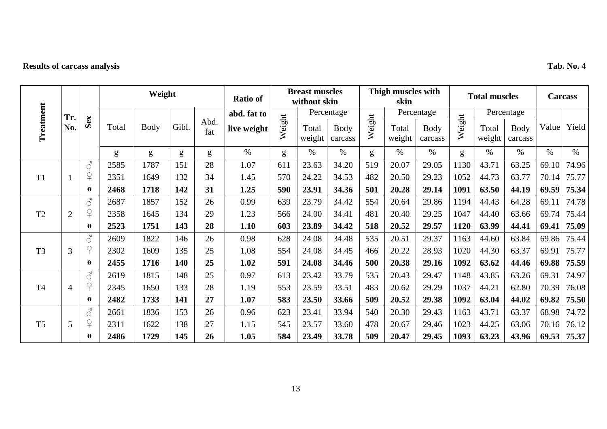# **Results of carcass analysis Tab. No. 4**

|                |                |                     |       | Weight      |       |             | Ratio of    |        | <b>Breast muscles</b><br>without skin |                        |        | Thigh muscles with<br>skin |                 |        | <b>Total muscles</b> |                        |       | <b>Carcass</b> |
|----------------|----------------|---------------------|-------|-------------|-------|-------------|-------------|--------|---------------------------------------|------------------------|--------|----------------------------|-----------------|--------|----------------------|------------------------|-------|----------------|
|                | Tr.            |                     |       |             |       |             | abd. fat to |        |                                       | Percentage             |        |                            | Percentage      |        |                      | Percentage             |       |                |
| Treatment      | No.            | Sex                 | Total | <b>Body</b> | Gibl. | Abd.<br>fat | live weight | Weight | Total<br>weight                       | <b>Body</b><br>carcass | Weight | Total<br>weight            | Body<br>carcass | Weight | Total<br>weight      | <b>Body</b><br>carcass | Value | Yield          |
|                |                |                     | g     | g           | g     | g           | $\%$        | g      | $\%$                                  | $\%$                   | g      | $\%$                       | $\%$            | g      | $\%$                 | $\%$                   | $\%$  | $\%$           |
|                |                | $\mathcal{S}$       | 2585  | 1787        | 151   | 28          | 1.07        | 611    | 23.63                                 | 34.20                  | 519    | 20.07                      | 29.05           | 1130   | 43.71                | 63.25                  | 69.10 | 74.96          |
| T <sub>1</sub> |                | $\overline{P}$      | 2351  | 1649        | 132   | 34          | 1.45        | 570    | 24.22                                 | 34.53                  | 482    | 20.50                      | 29.23           | 1052   | 44.73                | 63.77                  | 70.14 | 75.77          |
|                |                | Ø                   | 2468  | 1718        | 142   | 31          | 1.25        | 590    | 23.91                                 | 34.36                  | 501    | 20.28                      | 29.14           | 1091   | 63.50                | 44.19                  | 69.59 | 75.34          |
|                |                | $\mathcal{J}$       | 2687  | 1857        | 152   | 26          | 0.99        | 639    | 23.79                                 | 34.42                  | 554    | 20.64                      | 29.86           | 1194   | 44.43                | 64.28                  | 69.11 | 74.78          |
| T <sub>2</sub> | $\overline{2}$ | $\Omega$            | 2358  | 1645        | 134   | 29          | 1.23        | 566    | 24.00                                 | 34.41                  | 481    | 20.40                      | 29.25           | 1047   | 44.40                | 63.66                  | 69.74 | 75.44          |
|                |                | Ø                   | 2523  | 1751        | 143   | 28          | 1.10        | 603    | 23.89                                 | 34.42                  | 518    | 20.52                      | 29.57           | 1120   | 63.99                | 44.41                  | 69.41 | 75.09          |
|                |                | $\mathcal{S}$       | 2609  | 1822        | 146   | 26          | 0.98        | 628    | 24.08                                 | 34.48                  | 535    | 20.51                      | 29.37           | 1163   | 44.60                | 63.84                  | 69.86 | 75.44          |
| T <sub>3</sub> | 3              | $\Omega$            | 2302  | 1609        | 135   | 25          | 1.08        | 554    | 24.08                                 | 34.45                  | 466    | 20.22                      | 28.93           | 1020   | 44.30                | 63.37                  | 69.91 | 75.77          |
|                |                | Ø                   | 2455  | 1716        | 140   | 25          | 1.02        | 591    | 24.08                                 | 34.46                  | 500    | 20.38                      | 29.16           | 1092   | 63.62                | 44.46                  | 69.88 | 75.59          |
|                |                | $\vec{\mathcal{C}}$ | 2619  | 1815        | 148   | 25          | 0.97        | 613    | 23.42                                 | 33.79                  | 535    | 20.43                      | 29.47           | 1148   | 43.85                | 63.26                  | 69.31 | 74.97          |
| T <sub>4</sub> | $\overline{4}$ | $\Omega$            | 2345  | 1650        | 133   | 28          | 1.19        | 553    | 23.59                                 | 33.51                  | 483    | 20.62                      | 29.29           | 1037   | 44.21                | 62.80                  | 70.39 | 76.08          |
|                |                | Ø                   | 2482  | 1733        | 141   | 27          | 1.07        | 583    | 23.50                                 | 33.66                  | 509    | 20.52                      | 29.38           | 1092   | 63.04                | 44.02                  | 69.82 | 75.50          |
|                |                | $\mathcal{S}$       | 2661  | 1836        | 153   | 26          | 0.96        | 623    | 23.41                                 | 33.94                  | 540    | 20.30                      | 29.43           | 1163   | 43.71                | 63.37                  | 68.98 | 74.72          |
| T <sub>5</sub> | 5              | $\Omega$            | 2311  | 1622        | 138   | 27          | 1.15        | 545    | 23.57                                 | 33.60                  | 478    | 20.67                      | 29.46           | 1023   | 44.25                | 63.06                  | 70.16 | 76.12          |
|                |                | Ø                   | 2486  | 1729        | 145   | 26          | 1.05        | 584    | 23.49                                 | 33.78                  | 509    | 20.47                      | 29.45           | 1093   | 63.23                | 43.96                  | 69.53 | 75.37          |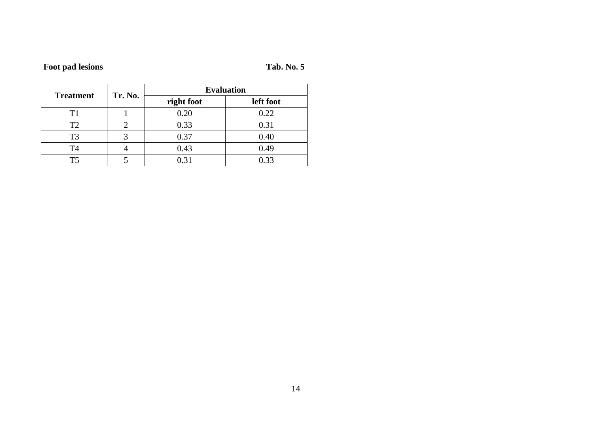**Foot pad lesions Tab. No. 5**

|                  | Tr. No. | <b>Evaluation</b> |           |  |  |  |  |  |
|------------------|---------|-------------------|-----------|--|--|--|--|--|
| <b>Treatment</b> |         | right foot        | left foot |  |  |  |  |  |
|                  |         | 0.20              | 0.22      |  |  |  |  |  |
| T <sub>2</sub>   |         | 0.33              | 0.31      |  |  |  |  |  |
| T <sub>3</sub>   |         | 0.37              | 0.40      |  |  |  |  |  |
| T <sub>4</sub>   |         | 0.43              | 0.49      |  |  |  |  |  |
| T5               |         | 0.31              | 0.33      |  |  |  |  |  |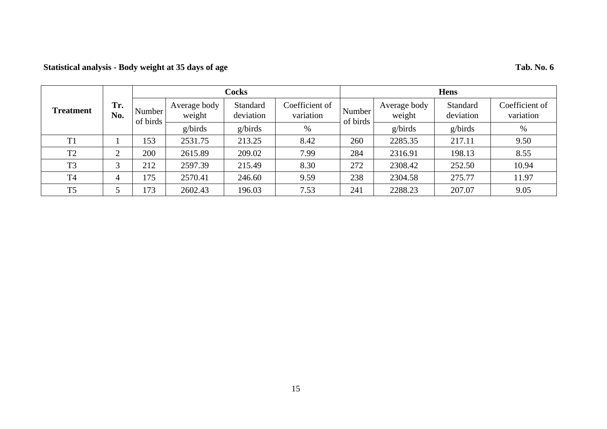### **Statistical analysis - Body weight at 35 days of age Tab. No. 6**

### **Treatment Tr. No. Cocks Hens** Number of birds Average body weight Standard deviation Coefficient of variation  $\begin{array}{c|c}\n\text{Number} \\
\text{Number}\n\end{array}$ of birds Average body weight Standard deviation Coefficient of variation g/birds g/birds % g/birds g/birds % T1 1 153 2531.75 213.25 8.42 260 2285.35 217.11 9.50 T2 2 200 2615.89 209.02 7.99 284 2316.91 198.13 8.55 T3 3 212 2597.39 215.49 8.30 272 2308.42 252.50 10.94 T4 4 175 2570.41 246.60 9.59 238 2304.58 275.77 11.97 T5 5 173 2602.43 196.03 7.53 241 2288.23 207.07 9.05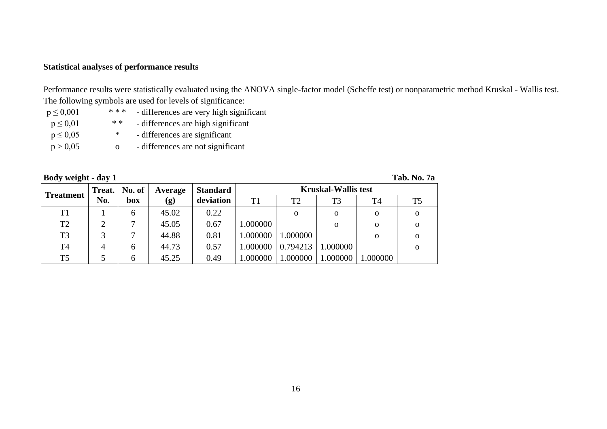### **Statistical analyses of performance results**

Performance results were statistically evaluated using the ANOVA single-factor model (Scheffe test) or nonparametric method Kruskal - Wallis test. The following symbols are used for levels of significance:

 $p \le 0.001$  \*\*\* - differences are very high significant  $p \le 0.01$  \* \* - differences are high significant  $p \le 0.05$  \* - differences are significant  $p > 0.05$  o - differences are not significant

| Body weight - day 1 |                |        |                            |                 |          |                |                            |              | Tab. No. 7a    |
|---------------------|----------------|--------|----------------------------|-----------------|----------|----------------|----------------------------|--------------|----------------|
| <b>Treatment</b>    | Treat.         | No. of | Average                    | <b>Standard</b> |          |                | <b>Kruskal-Wallis test</b> |              |                |
|                     | No.            | box    | $\left( \mathbf{g}\right)$ | deviation       | T1       | T <sub>2</sub> | T <sub>3</sub>             | T4           | T <sub>5</sub> |
| T1                  |                | 6      | 45.02                      | 0.22            |          | $\Omega$       | $\mathbf{O}$               | $\mathbf{O}$ | $\mathbf{o}$   |
| T <sub>2</sub>      | $\overline{2}$ |        | 45.05                      | 0.67            | 1.000000 |                | 0                          | 0            | $\Omega$       |
| T <sub>3</sub>      |                |        | 44.88                      | 0.81            | 1.000000 | 1.000000       |                            | $\Omega$     | $\Omega$       |
| T <sub>4</sub>      | $\overline{4}$ | 6      | 44.73                      | 0.57            | 1.000000 | 0.794213       | 1.000000                   |              | $\Omega$       |
| T <sub>5</sub>      |                | 6      | 45.25                      | 0.49            | 1.000000 | 1.000000       | 1.000000                   | 1.000000     |                |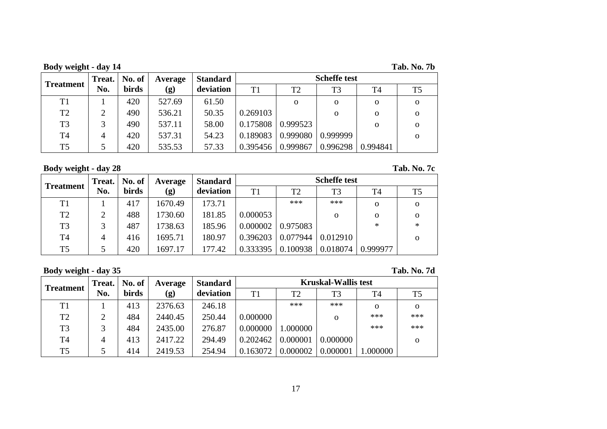**Body weight - day 14 Tab. No. 7b**

| <b>Treatment</b> | Treat. | No. of       | Average | <b>Standard</b> | <b>Scheffe test</b> |                |          |          |          |  |  |  |
|------------------|--------|--------------|---------|-----------------|---------------------|----------------|----------|----------|----------|--|--|--|
|                  | No.    | <b>birds</b> | (g)     | deviation       | T1                  | T <sub>2</sub> | T3       | T4       | T5       |  |  |  |
| T <sub>1</sub>   |        | 420          | 527.69  | 61.50           |                     | $\Omega$       | 0        | 0        | 0        |  |  |  |
| T <sub>2</sub>   |        | 490          | 536.21  | 50.35           | 0.269103            |                | о        | 0        | Ω        |  |  |  |
| T3               |        | 490          | 537.11  | 58.00           | 0.175808            | 0.999523       |          | 0        | $\Omega$ |  |  |  |
| T <sub>4</sub>   | 4      | 420          | 537.31  | 54.23           | 0.189083            | 0.999080       | 0.999999 |          |          |  |  |  |
| T <sub>5</sub>   |        | 420          | 535.53  | 57.33           | 0.395456            | 0.999867       | 0.996298 | 0.994841 |          |  |  |  |

**Body weight - day 28 Tab. No. 7c**

|                  | <b>Treat.</b> | No. of | Average | <b>Standard</b> | <b>Scheffe test</b> |                |          |          |                |  |  |  |
|------------------|---------------|--------|---------|-----------------|---------------------|----------------|----------|----------|----------------|--|--|--|
| <b>Treatment</b> | No.           | birds  | (g)     | deviation       | T1                  | T <sub>2</sub> | T3       | T4       | T <sub>5</sub> |  |  |  |
| T1               |               | 417    | 1670.49 | 173.71          |                     | ***            | ***      | 0        | $\Omega$       |  |  |  |
| T <sub>2</sub>   | ∍             | 488    | 1730.60 | 181.85          | 0.000053            |                | 0        | 0        | $\Omega$       |  |  |  |
| T <sub>3</sub>   |               | 487    | 1738.63 | 185.96          | 0.000002            | 0.975083       |          | $\ast$   | $\ast$         |  |  |  |
| T4               | 4             | 416    | 1695.71 | 180.97          | 0.396203            | 0.077944       | 0.012910 |          | $\Omega$       |  |  |  |
| T <sub>5</sub>   |               | 420    | 1697.17 | 177.42          | 0.333395            | 0.100938       | 0.018074 | 0.999977 |                |  |  |  |

**Body weight - day 35 Tab. No. 7d**

| <b>Treatment</b> | Treat. | No. of       | Average | <b>Standard</b> | <b>Kruskal-Wallis test</b> |                |                |          |                |  |  |  |
|------------------|--------|--------------|---------|-----------------|----------------------------|----------------|----------------|----------|----------------|--|--|--|
|                  | No.    | <b>birds</b> | (g)     | deviation       | T1                         | T <sub>2</sub> | T <sub>3</sub> | T4       | T <sub>5</sub> |  |  |  |
| T1               |        | 413          | 2376.63 | 246.18          |                            | ***            | ***            | $\Omega$ | $\Omega$       |  |  |  |
| T <sub>2</sub>   | ◠      | 484          | 2440.45 | 250.44          | 0.000000                   |                | 0              | ***      | ***            |  |  |  |
| T <sub>3</sub>   | 2      | 484          | 2435.00 | 276.87          | 0.000000                   | 1.000000       |                | ***      | ***            |  |  |  |
| T <sub>4</sub>   | 4      | 413          | 2417.22 | 294.49          | 0.202462                   | 0.000001       | 0.000000       |          | $\Omega$       |  |  |  |
| T <sub>5</sub>   |        | 414          | 2419.53 | 254.94          | 0.163072                   | 0.000002       | 0.000001       | 1.000000 |                |  |  |  |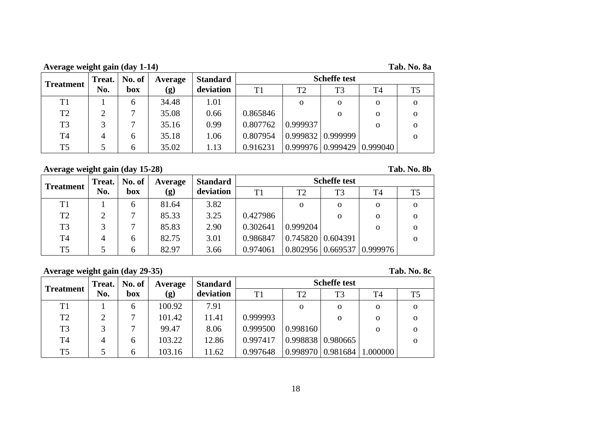**Average weight gain (day 1-14) Tab. No. 8a**

| <b>Treatment</b> |     | <b>Treat.</b>   No. of | Average | <b>Standard</b> | <b>Scheffe test</b> |          |                          |                                  |    |  |  |  |  |
|------------------|-----|------------------------|---------|-----------------|---------------------|----------|--------------------------|----------------------------------|----|--|--|--|--|
|                  | No. | box                    | (g)     | deviation       | T1                  | T2       | T <sub>3</sub>           | T4                               | T5 |  |  |  |  |
| T <sub>1</sub>   |     | <sub>0</sub>           | 34.48   | 1.01            |                     | $\Omega$ | 0                        | 0                                |    |  |  |  |  |
| T <sub>2</sub>   |     |                        | 35.08   | 0.66            | 0.865846            |          | 0                        | 0                                |    |  |  |  |  |
| T <sub>3</sub>   |     |                        | 35.16   | 0.99            | 0.807762            | 0.999937 |                          | 0                                |    |  |  |  |  |
| T <sub>4</sub>   |     | <sub>6</sub>           | 35.18   | 1.06            | 0.807954            |          | $0.999832 \mid 0.999999$ |                                  |    |  |  |  |  |
| T <sub>5</sub>   |     | <sub>6</sub>           | 35.02   | 1.13            | 0.916231            |          |                          | $0.999976$   0.999429   0.999040 |    |  |  |  |  |

### **Average weight gain (day 15-28) Tab. No. 8b**

### **Treatment Treat. No. No. of box Average (g) Standard deviation Scheffe test** T1 | T2 | T3 | T4 | T5 T1 1 6 81.64 3.82 o o o o  $T2 \begin{array}{|c|c|c|c|c|c|c|c|} \hline 2 & 7 & 85.33 & 3.25 & 0.427986 & & & & \hline \end{array}$  o o o T3 3 7 85.83 2.90 0.302641 0.999204 o o  $T4$  4 6 82.75 3.01 0.986847 0.745820 0.604391 T5 5 6 82.97 3.66 0.974061 0.802956 0.669537 0.999976

### **Average weight gain (day 29-35) Tab. No. 8c**

| Treatment      | Treat. | No. of | Average | <b>Standard</b> | <b>Scheffe test</b> |                |                          |          |          |  |  |  |  |
|----------------|--------|--------|---------|-----------------|---------------------|----------------|--------------------------|----------|----------|--|--|--|--|
|                | No.    | box    | (g)     | deviation       | T1                  | T <sub>2</sub> | T <sub>3</sub>           | T4       | T5       |  |  |  |  |
| T <sub>1</sub> |        | 6      | 100.92  | 7.91            |                     | $\mathbf{o}$   | $\Omega$                 | 0        | $\Omega$ |  |  |  |  |
| T <sub>2</sub> | ↑      |        | 101.42  | 11.41           | 0.999993            |                | $\Omega$                 | 0        | 0        |  |  |  |  |
| T <sub>3</sub> |        |        | 99.47   | 8.06            | 0.999500            | 0.998160       |                          | 0        |          |  |  |  |  |
| T <sub>4</sub> |        | 6      | 103.22  | 12.86           | 0.997417            |                | $0.998838 \mid 0.980665$ |          |          |  |  |  |  |
| T <sub>5</sub> |        | 6      | 103.16  | 11.62           | 0.997648            |                | $0.998970$   0.981684    | 1.000000 |          |  |  |  |  |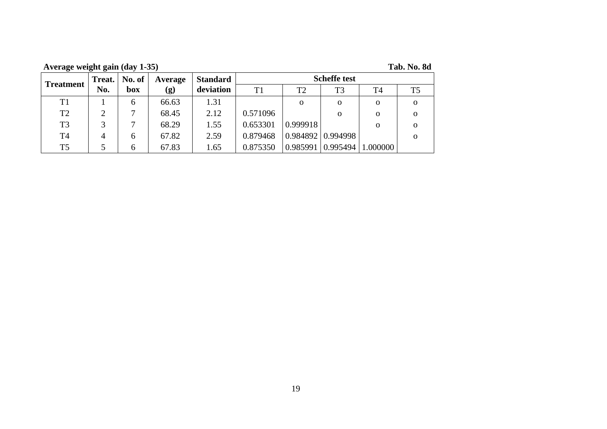**Average weight gain (day 1-35) Tab. No. 8d**

| <b>Treatment</b> | Treat. |              |       |           | No. of   | Average  | <b>Standard</b>          |          |    | <b>Scheffe test</b> |  |  |
|------------------|--------|--------------|-------|-----------|----------|----------|--------------------------|----------|----|---------------------|--|--|
|                  | No.    | box          | (g)   | deviation | T1       | T2       | T <sub>3</sub>           | T4       | T5 |                     |  |  |
| T1               |        | 6            | 66.63 | 1.31      |          | 0        | $\Omega$                 | 0        | 0  |                     |  |  |
| T <sub>2</sub>   | ↑      |              | 68.45 | 2.12      | 0.571096 |          | $\Omega$                 | $\Omega$ | Ω  |                     |  |  |
| T <sub>3</sub>   | 2      |              | 68.29 | 1.55      | 0.653301 | 0.999918 |                          | $\Omega$ | Ω  |                     |  |  |
| T <sub>4</sub>   | 4      | <sub>0</sub> | 67.82 | 2.59      | 0.879468 |          | $0.984892 \mid 0.994998$ |          | Ω  |                     |  |  |
| T <sub>5</sub>   |        | 6            | 67.83 | 1.65      | 0.875350 | 0.985991 | 0.995494                 | 1.000000 |    |                     |  |  |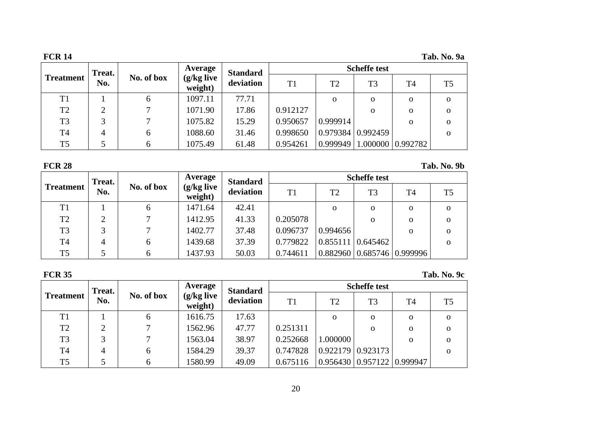| <b>FCR 14</b>    |        |            |                         |                 |                |                |                     |                | Tab. No. 9a    |
|------------------|--------|------------|-------------------------|-----------------|----------------|----------------|---------------------|----------------|----------------|
|                  | Treat. |            | Average                 | <b>Standard</b> |                |                | <b>Scheffe test</b> |                |                |
| <b>Treatment</b> | No.    | No. of box | $(g/kg$ live<br>weight) | deviation       | T <sub>1</sub> | T <sub>2</sub> | T <sub>3</sub>      | T <sub>4</sub> | T <sub>5</sub> |
| T1               |        | 6          | 1097.11                 | 77.71           |                | $\Omega$       | $\mathbf{o}$        | $\Omega$       | $\mathbf{O}$   |
| T <sub>2</sub>   | ∍      |            | 1071.90                 | 17.86           | 0.912127       |                | $\mathbf{O}$        | 0              | $\Omega$       |
| T <sub>3</sub>   |        |            | 1075.82                 | 15.29           | 0.950657       | 0.999914       |                     | $\Omega$       | $\Omega$       |
| T <sub>4</sub>   | 4      | 6          | 1088.60                 | 31.46           | 0.998650       |                | 0.979384   0.992459 |                | $\Omega$       |
| T <sub>5</sub>   |        | 6          | 1075.49                 | 61.48           | 0.954261       | 0.999949       | 1.000000 0.992782   |                |                |

**FCR 28 Tab. No. 9b**

|                  | Treat. |            |                       | <b>Average</b> | <b>Standard</b> |                |                     | <b>Scheffe test</b>            |                |  |
|------------------|--------|------------|-----------------------|----------------|-----------------|----------------|---------------------|--------------------------------|----------------|--|
| <b>Treatment</b> | No.    | No. of box | (g/kg live<br>weight) | deviation      | T1              | T <sub>2</sub> | T <sub>3</sub>      | T <sub>4</sub>                 | T <sub>5</sub> |  |
| T <sub>1</sub>   |        | b          | 1471.64               | 42.41          |                 | $\mathbf{o}$   | 0                   | $\Omega$                       | $\mathbf{O}$   |  |
| T <sub>2</sub>   |        |            | 1412.95               | 41.33          | 0.205078        |                | 0                   | Ω                              | $\mathbf{O}$   |  |
| T <sub>3</sub>   |        |            | 1402.77               | 37.48          | 0.096737        | 0.994656       |                     | $\Omega$                       | $\mathbf{O}$   |  |
| T <sub>4</sub>   |        | 6          | 1439.68               | 37.39          | 0.779822        |                | 0.855111   0.645462 |                                | $\mathbf{O}$   |  |
| T <sub>5</sub>   |        | 6          | 1437.93               | 50.03          | 0.744611        |                |                     | 0.882960   0.685746   0.999996 |                |  |

| <b>FCR 35</b>                        |     |            |                       |           |          |                |                                |                | Tab. No. 9c    |
|--------------------------------------|-----|------------|-----------------------|-----------|----------|----------------|--------------------------------|----------------|----------------|
| Average<br><b>Standard</b><br>Treat. |     |            |                       |           |          |                | <b>Scheffe test</b>            |                |                |
| <b>Treatment</b>                     | No. | No. of box | (g/kg live<br>weight) | deviation | T1       | T <sub>2</sub> | T <sub>3</sub>                 | T <sub>4</sub> | T <sub>5</sub> |
| T1                                   |     | 6          | 1616.75               | 17.63     |          | $\mathbf{o}$   | $\mathbf{0}$                   | $\Omega$       | $\mathbf{O}$   |
| T2                                   | C   |            | 1562.96               | 47.77     | 0.251311 |                | $\Omega$                       | $\Omega$       | $\Omega$       |
| T <sub>3</sub>                       | 3   |            | 1563.04               | 38.97     | 0.252668 | 1.000000       |                                | $\Omega$       | $\mathbf{O}$   |
| T <sub>4</sub>                       | 4   | 6          | 1584.29               | 39.37     | 0.747828 |                | $0.922179 \mid 0.923173$       |                | $\Omega$       |
| T <sub>5</sub>                       |     | 6          | 1580.99               | 49.09     | 0.675116 |                | 0.956430   0.957122   0.999947 |                |                |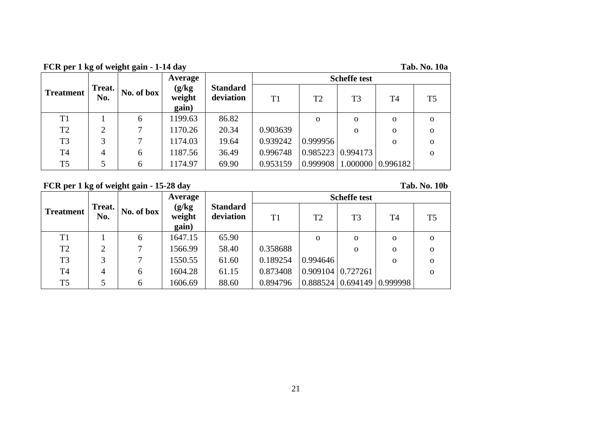**FCR per 1 kg of weight gain - 1-14 day** 

| <b>Tab. No. 10a</b> |  |  |
|---------------------|--|--|
|                     |  |  |

|                  |               |            | Average                   |                              |                |          | <b>Scheffe test</b>           |                       |                |
|------------------|---------------|------------|---------------------------|------------------------------|----------------|----------|-------------------------------|-----------------------|----------------|
| <b>Treatment</b> | Treat.<br>No. | No. of box | (g/kg)<br>weight<br>gain) | <b>Standard</b><br>deviation | T <sub>1</sub> | T2       | T <sub>3</sub>                | T <sub>4</sub>        | T <sub>5</sub> |
| T1               |               | 6          | 1199.63                   | 86.82                        |                | $\Omega$ | $\Omega$                      | $\mathbf{O}$          | $\Omega$       |
| T <sub>2</sub>   | ↑             | 7          | 1170.26                   | 20.34                        | 0.903639       |          | $\Omega$                      | $\mathbf{O}$          | $\Omega$       |
| T <sub>3</sub>   | 3             | $\tau$     | 1174.03                   | 19.64                        | 0.939242       | 0.999956 |                               | $\mathbf{O}$          | $\mathbf{O}$   |
| T <sub>4</sub>   | 4             | 6          | 1187.56                   | 36.49                        | 0.996748       |          | $0.985223 \mid 0.994173 \mid$ |                       | $\Omega$       |
| T <sub>5</sub>   | 5             | 6          | 1174.97                   | 69.90                        | 0.953159       | 0.999908 |                               | $1.000000$   0.996182 |                |

**FCR per 1 kg of weight gain - 15-28 day Tab. No. 10b**

|                  |               |            | Average                   |                              | <b>Scheffe test</b> |                          |                |                |                |  |
|------------------|---------------|------------|---------------------------|------------------------------|---------------------|--------------------------|----------------|----------------|----------------|--|
| <b>Treatment</b> | Treat.<br>No. | No. of box | (g/kg)<br>weight<br>gain) | <b>Standard</b><br>deviation | T1                  | T <sub>2</sub>           | T <sub>3</sub> | T <sub>4</sub> | T <sub>5</sub> |  |
| T1               |               | 6          | 1647.15                   | 65.90                        |                     | $\Omega$                 | $\Omega$       | $\mathbf{O}$   | $\Omega$       |  |
| T <sub>2</sub>   | C             | 7          | 1566.99                   | 58.40                        | 0.358688            |                          | $\mathbf 0$    | $\mathbf{O}$   | $\Omega$       |  |
| T <sub>3</sub>   | 3             | 7          | 1550.55                   | 61.60                        | 0.189254            | 0.994646                 |                | $\mathbf{O}$   | $\Omega$       |  |
| T <sub>4</sub>   | 4             | 6          | 1604.28                   | 61.15                        | 0.873408            | $0.909104 \mid 0.727261$ |                |                | $\Omega$       |  |
| T <sub>5</sub>   |               | 6          | 1606.69                   | 88.60                        | 0.894796            | $0.888524 \mid 0.694149$ |                | 0.999998       |                |  |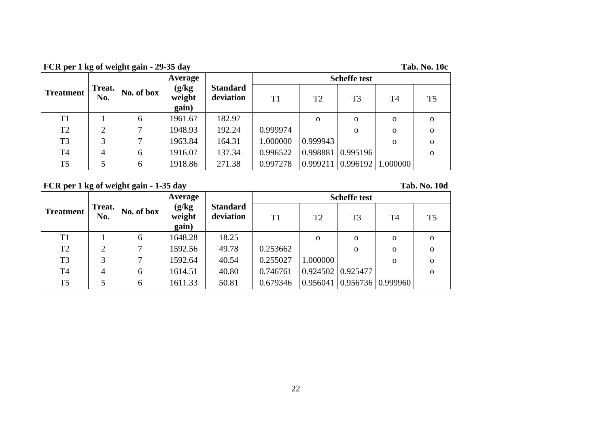**FCR per 1 kg of weight gain - 29-35 day** 

| <b>Tab. No. 10c</b> |  |  |
|---------------------|--|--|
|---------------------|--|--|

|                  |               |            | Average                   |                              |          |             | <b>Scheffe test</b> |                |                |
|------------------|---------------|------------|---------------------------|------------------------------|----------|-------------|---------------------|----------------|----------------|
| <b>Treatment</b> | Treat.<br>No. | No. of box | (g/kg)<br>weight<br>gain) | <b>Standard</b><br>deviation | T1       | T2          | T <sub>3</sub>      | T <sub>4</sub> | T <sub>5</sub> |
| T1               |               | 6          | 1961.67                   | 182.97                       |          | $\mathbf 0$ | $\Omega$            | $\mathbf{O}$   | $\Omega$       |
| T <sub>2</sub>   | ◠             | 7          | 1948.93                   | 192.24                       | 0.999974 |             | $\Omega$            | $\mathbf{O}$   | $\Omega$       |
| T <sub>3</sub>   | 3             | 7          | 1963.84                   | 164.31                       | 1.000000 | 0.999943    |                     | $\mathbf{O}$   | $\Omega$       |
| T <sub>4</sub>   | 4             | 6          | 1916.07                   | 137.34                       | 0.996522 | 0.998881    | 0.995196            |                | $\Omega$       |
| T <sub>5</sub>   |               | 6          | 1918.86                   | 271.38                       | 0.997278 | 0.999211    | 0.996192            | 1.000000       |                |

**FCR per 1 kg of weight gain - 1-35 day Tab. No. 10d**

|                  |                |            | Average                   |                              | <b>Scheffe test</b> |                |                                |                |                |  |
|------------------|----------------|------------|---------------------------|------------------------------|---------------------|----------------|--------------------------------|----------------|----------------|--|
| <b>Treatment</b> | Treat.<br>No.  | No. of box | (g/kg)<br>weight<br>gain) | <b>Standard</b><br>deviation | T1                  | T <sub>2</sub> | T <sub>3</sub>                 | T <sub>4</sub> | T <sub>5</sub> |  |
| T <sub>1</sub>   |                | 6          | 1648.28                   | 18.25                        |                     | $\Omega$       | $\Omega$                       | $\mathbf{O}$   | $\Omega$       |  |
| T <sub>2</sub>   | $\overline{2}$ |            | 1592.56                   | 49.78                        | 0.253662            |                | $\Omega$                       | $\mathbf{O}$   | $\Omega$       |  |
| T <sub>3</sub>   | 3              |            | 1592.64                   | 40.54                        | 0.255027            | 1.000000       |                                | $\mathbf{O}$   | $\Omega$       |  |
| T <sub>4</sub>   | 4              | 6          | 1614.51                   | 40.80                        | 0.746761            |                | $0.924502 \mid 0.925477$       |                | $\Omega$       |  |
| T <sub>5</sub>   |                | 6          | 1611.33                   | 50.81                        | 0.679346            |                | 0.956041   0.956736   0.999960 |                |                |  |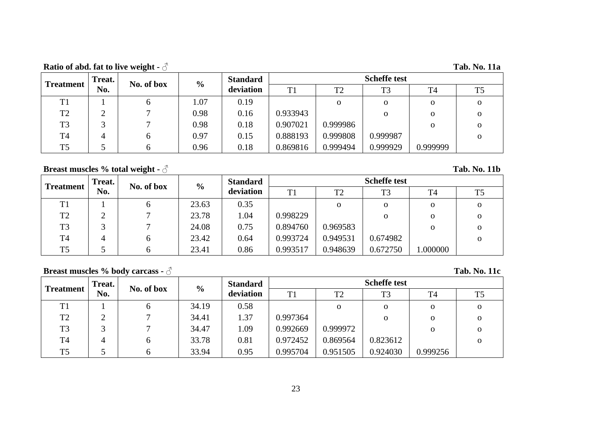**Ratio of abd. fat to live weight -**  $\beta$  **Tab. No. 11a** 

| <b>Treatment</b> | Treat. | No. of box | $\frac{0}{0}$ | <b>Standard</b> |                | <b>Scheffe test</b> |                |                |    |  |  |
|------------------|--------|------------|---------------|-----------------|----------------|---------------------|----------------|----------------|----|--|--|
|                  | No.    |            |               | deviation       | T <sub>1</sub> | T <sub>2</sub>      | T <sub>3</sub> | T <sub>4</sub> | T5 |  |  |
| T <sub>1</sub>   |        | O          | 1.07          | 0.19            |                | O                   | 0              | $\Omega$       | 0  |  |  |
| T <sub>2</sub>   |        |            | 0.98          | 0.16            | 0.933943       |                     | O              | $\Omega$       | Ω  |  |  |
| T <sub>3</sub>   |        |            | 0.98          | 0.18            | 0.907021       | 0.999986            |                | $\Omega$       | 0  |  |  |
| T <sub>4</sub>   |        | h.         | 0.97          | 0.15            | 0.888193       | 0.999808            | 0.999987       |                | 0  |  |  |
| T <sub>5</sub>   |        |            | 0.96          | 0.18            | 0.869816       | 0.999494            | 0.999929       | 0.999999       |    |  |  |

# **Breast muscles % total weight -**  $\delta$

| <b>Tab. No. 11b</b> |  |
|---------------------|--|
|                     |  |

| <b>Treatment</b> | Treat. | No. of box | $\frac{6}{10}$ | <b>Standard</b> | <b>Scheffe test</b> |                |                |             |          |  |
|------------------|--------|------------|----------------|-----------------|---------------------|----------------|----------------|-------------|----------|--|
|                  | No.    |            |                | deviation       | T1                  | T <sub>2</sub> | T <sub>3</sub> | T4          | T5       |  |
| <b>T1</b>        |        |            | 23.63          | 0.35            |                     | 0              | O              | 0           | 0        |  |
| T <sub>2</sub>   | ∠      |            | 23.78          | 1.04            | 0.998229            |                | 0              | $\Omega$    | 0        |  |
| T <sub>3</sub>   |        |            | 24.08          | 0.75            | 0.894760            | 0.969583       |                | $\mathbf 0$ | 0        |  |
| T4               |        | 6          | 23.42          | 0.64            | 0.993724            | 0.949531       | 0.674982       |             | $\Omega$ |  |
| T <sub>5</sub>   |        |            | 23.41          | 0.86            | 0.993517            | 0.948639       | 0.672750       | .000000     |          |  |

# **Breast muscles % body carcass - ♂ Tab. No. 11c**

| <b>Treatment</b> | Treat. | No. of box   | $\frac{6}{9}$ | <b>Standard</b> | <b>Scheffe test</b> |                |                |              |                |  |
|------------------|--------|--------------|---------------|-----------------|---------------------|----------------|----------------|--------------|----------------|--|
|                  | No.    |              |               | deviation       | T1                  | T <sub>2</sub> | T <sub>3</sub> | T4           | T <sub>5</sub> |  |
| T <sub>1</sub>   |        | <sub>0</sub> | 34.19         | 0.58            |                     | $\mathbf 0$    | $\mathbf{o}$   | $\mathbf{O}$ |                |  |
| T <sub>2</sub>   |        |              | 34.41         | 1.37            | 0.997364            |                | $\Omega$       | $\mathbf{O}$ |                |  |
| T <sub>3</sub>   |        |              | 34.47         | 1.09            | 0.992669            | 0.999972       |                | $\mathbf{O}$ |                |  |
| T <sub>4</sub>   | 4      | b            | 33.78         | 0.81            | 0.972452            | 0.869564       | 0.823612       |              |                |  |
| T <sub>5</sub>   |        |              | 33.94         | 0.95            | 0.995704            | 0.951505       | 0.924030       | 0.999256     |                |  |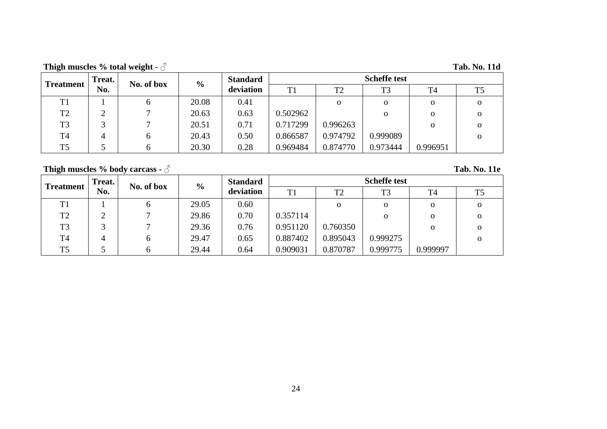**Thigh muscles % total weight -**  $\triangle$  **Tab. No. 11d** 

|                  | Treat. | No. of box   | $\frac{6}{6}$ | <b>Standard</b> |                |                | <b>Scheffe test</b> |                |                |
|------------------|--------|--------------|---------------|-----------------|----------------|----------------|---------------------|----------------|----------------|
| <b>Treatment</b> | No.    |              |               | deviation       | T <sub>1</sub> | T <sub>2</sub> | T <sub>3</sub>      | T <sub>4</sub> | T <sub>5</sub> |
| T <sub>1</sub>   |        | n            | 20.08         | 0.41            |                | $\Omega$       | 0                   | $\mathbf{o}$   | 0              |
| T <sub>2</sub>   |        |              | 20.63         | 0.63            | 0.502962       |                | 0                   | $\mathbf{o}$   | 0              |
| T <sub>3</sub>   |        |              | 20.51         | 0.71            | 0.717299       | 0.996263       |                     | $\mathbf{o}$   | 0              |
| T <sub>4</sub>   |        | <sub>0</sub> | 20.43         | 0.50            | 0.866587       | 0.974792       | 0.999089            |                | $\Omega$       |
| T <sub>5</sub>   |        |              | 20.30         | 0.28            | 0.969484       | 0.874770       | 0.973444            | 0.996951       |                |

# **Thigh muscles % body carcass - ♂ Tab. No. 11e**

| <b>Treatment</b> | Treat. | No. of box | $\frac{0}{0}$ | <b>Standard</b> | <b>Scheffe test</b> |                |                |                |    |  |
|------------------|--------|------------|---------------|-----------------|---------------------|----------------|----------------|----------------|----|--|
|                  | No.    |            |               | deviation       | T1                  | T <sub>2</sub> | T <sub>3</sub> | T <sub>4</sub> | T5 |  |
| T <sub>1</sub>   |        | O          | 29.05         | 0.60            |                     | 0              | $\Omega$       | $\mathbf 0$    | 0  |  |
| T <sub>2</sub>   |        |            | 29.86         | 0.70            | 0.357114            |                | 0              | O              | 0  |  |
| T <sub>3</sub>   |        |            | 29.36         | 0.76            | 0.951120            | 0.760350       |                | O              | Ω  |  |
| <b>T4</b>        | 4      | 6          | 29.47         | 0.65            | 0.887402            | 0.895043       | 0.999275       |                | Ω  |  |
| T <sub>5</sub>   |        |            | 29.44         | 0.64            | 0.909031            | 0.870787       | 0.999775       | 0.999997       |    |  |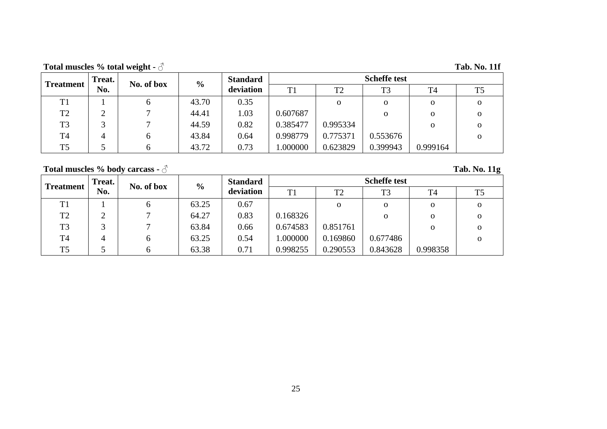**Total muscles % total weight - ♂ Tab. No. 11f**

| <b>Treatment</b> | Treat. | No. of box | $\frac{0}{0}$ | <b>Standard</b> | <b>Scheffe test</b> |                |                |                |                |  |
|------------------|--------|------------|---------------|-----------------|---------------------|----------------|----------------|----------------|----------------|--|
|                  | No.    |            |               | deviation       | T1                  | T <sub>2</sub> | T <sub>3</sub> | T <sub>4</sub> | T <sub>5</sub> |  |
| T <sub>1</sub>   |        | O          | 43.70         | 0.35            |                     | $\Omega$       | 0              | $\mathbf{o}$   | 0              |  |
| T <sub>2</sub>   | ◠<br>∠ |            | 44.41         | 1.03            | 0.607687            |                | 0              | $\Omega$       | 0              |  |
| T <sub>3</sub>   | ⌒      |            | 44.59         | 0.82            | 0.385477            | 0.995334       |                | $\mathbf{O}$   | $\mathbf{O}$   |  |
| T <sub>4</sub>   | 4      | O          | 43.84         | 0.64            | 0.998779            | 0.775371       | 0.553676       |                | 0              |  |
| T <sub>5</sub>   |        |            | 43.72         | 0.73            | .000000             | 0.623829       | 0.399943       | 0.999164       |                |  |

# **Total muscles % body carcass - ♂ Tab. No. 11g**

| <b>Treatment</b> | Treat. | No. of box |                | <b>Standard</b> | <b>Scheffe test</b> |                |                |             |             |  |
|------------------|--------|------------|----------------|-----------------|---------------------|----------------|----------------|-------------|-------------|--|
|                  | No.    |            | $\frac{6}{10}$ | deviation       | T <sub>1</sub>      | T <sub>2</sub> | T <sub>3</sub> | T4          | T5          |  |
| T <sub>1</sub>   |        |            | 63.25          | 0.67            |                     | $\mathbf 0$    | $\mathbf{O}$   | $\mathbf 0$ | $\Omega$    |  |
| T <sub>2</sub>   | ◠      |            | 64.27          | 0.83            | 0.168326            |                | 0              | $\mathbf 0$ | $\mathbf 0$ |  |
| T <sub>3</sub>   |        |            | 63.84          | 0.66            | 0.674583            | 0.851761       |                | $\Omega$    | $\Omega$    |  |
| <b>T4</b>        |        |            | 63.25          | 0.54            | .000000             | 0.169860       | 0.677486       |             | $\Omega$    |  |
| T <sub>5</sub>   |        |            | 63.38          | 0.71            | 0.998255            | 0.290553       | 0.843628       | 0.998358    |             |  |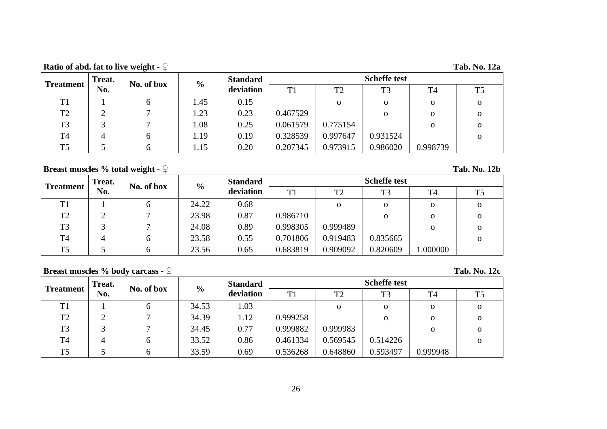**Ratio of abd. fat to live weight - ♀ Tab. No. 12a**

| <b>Treatment</b> | Treat.                        | No. of box | $\frac{6}{10}$ | <b>Standard</b> | <b>Scheffe test</b> |                |                |                |                |  |
|------------------|-------------------------------|------------|----------------|-----------------|---------------------|----------------|----------------|----------------|----------------|--|
|                  | No.                           |            |                | deviation       | T1                  | T <sub>2</sub> | T <sub>3</sub> | T <sub>4</sub> | T <sub>5</sub> |  |
| T <sub>1</sub>   |                               | O          | 1.45           | 0.15            |                     | $\Omega$       | 0              | $\mathbf{o}$   | 0              |  |
| T <sub>2</sub>   | ◠<br>$\overline{\phantom{0}}$ |            | 1.23           | 0.23            | 0.467529            |                | 0              | $\Omega$       | 0              |  |
| T <sub>3</sub>   | ⌒                             |            | 0.08           | 0.25            | 0.061579            | 0.775154       |                | $\mathbf{O}$   | 0              |  |
| T <sub>4</sub>   | 4                             | O          | 1.19           | 0.19            | 0.328539            | 0.997647       | 0.931524       |                | 0              |  |
| T <sub>5</sub>   |                               |            | 1.15           | 0.20            | 0.207345            | 0.973915       | 0.986020       | 0.998739       |                |  |

# **Breast muscles % total weight -** ♀ **Tab. No. 12b**

| <b>Treatment</b> | Treat. | No. of box | $\frac{6}{10}$ | <b>Standard</b> | <b>Scheffe test</b> |                |                |                |                |  |
|------------------|--------|------------|----------------|-----------------|---------------------|----------------|----------------|----------------|----------------|--|
|                  | No.    |            |                | deviation       | T <sub>1</sub>      | T <sub>2</sub> | T <sub>3</sub> | T <sub>4</sub> | T <sub>5</sub> |  |
| <b>T1</b>        |        |            | 24.22          | 0.68            |                     | 0              | 0              | 0              | О              |  |
| T <sub>2</sub>   |        |            | 23.98          | 0.87            | 0.986710            |                | 0              | O              | 0              |  |
| T <sub>3</sub>   |        |            | 24.08          | 0.89            | 0.998305            | 0.999489       |                | O              | $\Omega$       |  |
| T <sub>4</sub>   | 4      | b          | 23.58          | 0.55            | 0.701806            | 0.919483       | 0.835665       |                | 0              |  |
| T <sub>5</sub>   |        |            | 23.56          | 0.65            | 0.683819            | 0.909092       | 0.820609       | .000000        |                |  |

# **Breast muscles % body carcass - ♀ Tab. No. 12c**

|                  | Treat. | No. of box   | $\frac{6}{9}$ | <b>Standard</b> | <b>Scheffe test</b> |                |                |          |          |  |
|------------------|--------|--------------|---------------|-----------------|---------------------|----------------|----------------|----------|----------|--|
| <b>Treatment</b> | No.    |              |               | deviation       | T1                  | T <sub>2</sub> | T <sub>3</sub> | T4       | T5       |  |
| T <sub>1</sub>   |        | n            | 34.53         | 1.03            |                     | $\Omega$       | $\mathbf{O}$   | 0        |          |  |
| T <sub>2</sub>   |        |              | 34.39         | 1.12            | 0.999258            |                | 0              | 0        |          |  |
| T <sub>3</sub>   |        |              | 34.45         | 0.77            | 0.999882            | 0.999983       |                | 0        | 0        |  |
| T <sub>4</sub>   | 4      | b            | 33.52         | 0.86            | 0.461334            | 0.569545       | 0.514226       |          | $\Omega$ |  |
| T <sub>5</sub>   |        | <sub>0</sub> | 33.59         | 0.69            | 0.536268            | 0.648860       | 0.593497       | 0.999948 |          |  |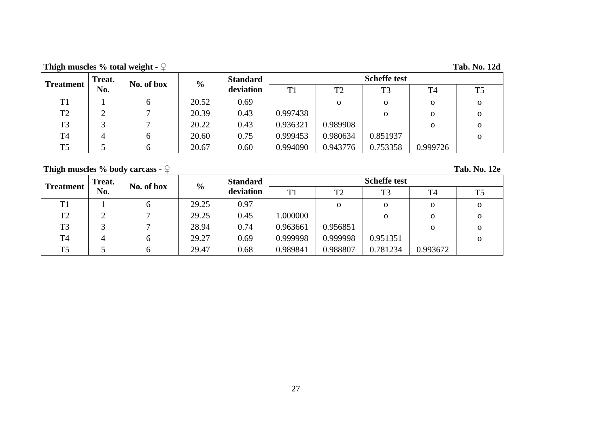**Thigh muscles % total weight - ♀ Tab. No. 12d**

| <b>Treatment</b> | Treat. | No. of box | <b>Standard</b><br>$\frac{6}{9}$ |           | <b>Scheffe test</b> |                |                |                |                |  |
|------------------|--------|------------|----------------------------------|-----------|---------------------|----------------|----------------|----------------|----------------|--|
|                  | No.    |            |                                  | deviation | T1                  | T <sub>2</sub> | T <sub>3</sub> | T <sub>4</sub> | T <sub>5</sub> |  |
| T <sub>1</sub>   |        | O          | 20.52                            | 0.69      |                     | $\Omega$       | O              | $\mathbf{o}$   | 0              |  |
| T <sub>2</sub>   |        |            | 20.39                            | 0.43      | 0.997438            |                | 0              | $\Omega$       | 0              |  |
| T <sub>3</sub>   |        |            | 20.22                            | 0.43      | 0.936321            | 0.989908       |                | $\mathbf{o}$   | 0              |  |
| T <sub>4</sub>   |        | O          | 20.60                            | 0.75      | 0.999453            | 0.980634       | 0.851937       |                | 0              |  |
| T <sub>5</sub>   |        |            | 20.67                            | 0.60      | 0.994090            | 0.943776       | 0.753358       | 0.999726       |                |  |

# **Thigh muscles % body carcass - ♀ Tab. No. 12e**

| <b>Treatment</b> | Treat. | No. of box | <b>Standard</b><br>$\frac{6}{10}$ |           | <b>Scheffe test</b> |                |                |                |    |  |  |
|------------------|--------|------------|-----------------------------------|-----------|---------------------|----------------|----------------|----------------|----|--|--|
|                  | No.    |            |                                   | deviation | T <sub>1</sub>      | T <sub>2</sub> | T <sub>3</sub> | T <sub>4</sub> | T5 |  |  |
| T <sub>1</sub>   |        | o          | 29.25                             | 0.97      |                     | $\Omega$       | 0              | $\Omega$       |    |  |  |
| T <sub>2</sub>   |        |            | 29.25                             | 0.45      | .000000             |                | 0              | $\mathbf 0$    | Ω  |  |  |
| T <sub>3</sub>   |        |            | 28.94                             | 0.74      | 0.963661            | 0.956851       |                | $\Omega$       |    |  |  |
| T <sub>4</sub>   | 4      | h.         | 29.27                             | 0.69      | 0.999998            | 0.999998       | 0.951351       |                |    |  |  |
| T <sub>5</sub>   |        |            | 29.47                             | 0.68      | 0.989841            | 0.988807       | 0.781234       | 0.993672       |    |  |  |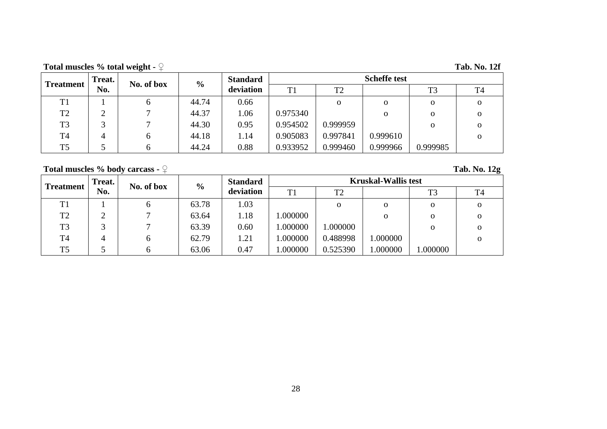**Total muscles % total weight - ♀ Tab. No. 12f**

| <b>Treatment</b> | Treat. | No. of box | $\frac{6}{10}$ | <b>Standard</b> | <b>Scheffe test</b> |                |          |                |              |  |  |
|------------------|--------|------------|----------------|-----------------|---------------------|----------------|----------|----------------|--------------|--|--|
|                  | No.    |            |                | deviation       | T1                  | T <sub>2</sub> |          | T <sub>3</sub> | Т4           |  |  |
| T1               |        | O          | 44.74          | 0.66            |                     | $\Omega$       | о        | $\mathbf{o}$   | 0            |  |  |
| T <sub>2</sub>   | ◠<br>∠ |            | 44.37          | .06             | 0.975340            |                | 0        | $\Omega$       | 0            |  |  |
| T <sub>3</sub>   | ⌒      |            | 44.30          | 0.95            | 0.954502            | 0.999959       |          | $\mathbf{O}$   | $\mathbf{O}$ |  |  |
| T <sub>4</sub>   | 4      | O.         | 44.18          | 1.14            | 0.905083            | 0.997841       | 0.999610 |                | 0            |  |  |
| T <sub>5</sub>   |        |            | 44.24          | 0.88            | 0.933952            | 0.999460       | 0.999966 | 0.999985       |              |  |  |

# **Total muscles % body carcass - ♀ Tab. No. 12g**

| <b>Treatment</b> | <b>Treat.</b> | No. of box | $\frac{6}{9}$ | <b>Standard</b> | <b>Kruskal-Wallis test</b> |                |          |                |          |  |
|------------------|---------------|------------|---------------|-----------------|----------------------------|----------------|----------|----------------|----------|--|
|                  | No.           |            |               | deviation       | T <sub>1</sub>             | T <sub>2</sub> |          | T <sub>3</sub> | T4       |  |
| T <sub>1</sub>   |               |            | 63.78         | 1.03            |                            | $\mathbf 0$    | $\Omega$ | 0              | О        |  |
| T <sub>2</sub>   |               |            | 63.64         | 1.18            | .000000                    |                | $\Omega$ | 0              | 0        |  |
| T <sub>3</sub>   |               |            | 63.39         | 0.60            | .000000                    | 1.000000       |          | O              | $\Omega$ |  |
| <b>T4</b>        |               | n          | 62.79         | 1.21            | .000000                    | 0.488998       | .000000  |                | $\Omega$ |  |
| T <sub>5</sub>   |               |            | 63.06         | 0.47            | .000000                    | 0.525390       | .000000  | .000000        |          |  |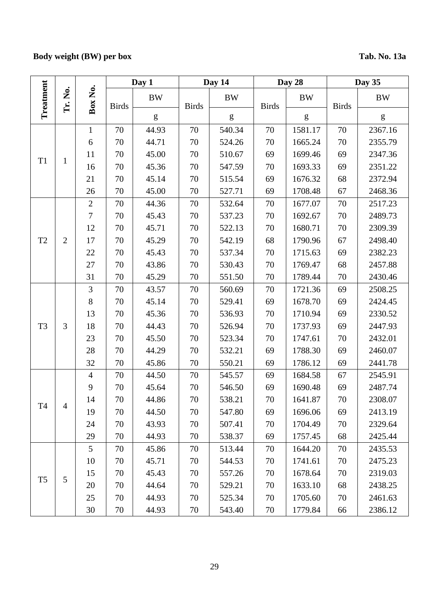# **Body weight (BW) per box Tab. No. 13a**

|                |                |                | Day 1        |                                                                                                                                                                                                                                                                                                                                                                                                                                | Day 14       |                                                                                                                                                                                                                                                                                                                                                                                                                                |              | Day 28                                                                                                                                                                                                                                                                                                                                                                                                                         | Day 35       |           |  |
|----------------|----------------|----------------|--------------|--------------------------------------------------------------------------------------------------------------------------------------------------------------------------------------------------------------------------------------------------------------------------------------------------------------------------------------------------------------------------------------------------------------------------------|--------------|--------------------------------------------------------------------------------------------------------------------------------------------------------------------------------------------------------------------------------------------------------------------------------------------------------------------------------------------------------------------------------------------------------------------------------|--------------|--------------------------------------------------------------------------------------------------------------------------------------------------------------------------------------------------------------------------------------------------------------------------------------------------------------------------------------------------------------------------------------------------------------------------------|--------------|-----------|--|
| Treatment      | .<br>Ž<br>Ė.   | Box No.        | <b>Birds</b> | <b>BW</b>                                                                                                                                                                                                                                                                                                                                                                                                                      | <b>Birds</b> | <b>BW</b>                                                                                                                                                                                                                                                                                                                                                                                                                      | <b>Birds</b> | <b>BW</b>                                                                                                                                                                                                                                                                                                                                                                                                                      | <b>Birds</b> | <b>BW</b> |  |
|                |                |                |              | $\mathbf{g}% _{T}=\mathbf{g}_{T}=\mathbf{g}_{T}=\mathbf{g}_{T}=\mathbf{g}_{T}=\mathbf{g}_{T}=\mathbf{g}_{T}=\mathbf{g}_{T}=\mathbf{g}_{T}=\mathbf{g}_{T}=\mathbf{g}_{T}=\mathbf{g}_{T}=\mathbf{g}_{T}=\mathbf{g}_{T}=\mathbf{g}_{T}=\mathbf{g}_{T}=\mathbf{g}_{T}=\mathbf{g}_{T}=\mathbf{g}_{T}=\mathbf{g}_{T}=\mathbf{g}_{T}=\mathbf{g}_{T}=\mathbf{g}_{T}=\mathbf{g}_{T}=\mathbf{g}_{T}=\mathbf{g}_{T}=\mathbf{g}_{T}=\math$ |              | $\mathbf{g}% _{T}=\mathbf{g}_{T}=\mathbf{g}_{T}=\mathbf{g}_{T}=\mathbf{g}_{T}=\mathbf{g}_{T}=\mathbf{g}_{T}=\mathbf{g}_{T}=\mathbf{g}_{T}=\mathbf{g}_{T}=\mathbf{g}_{T}=\mathbf{g}_{T}=\mathbf{g}_{T}=\mathbf{g}_{T}=\mathbf{g}_{T}=\mathbf{g}_{T}=\mathbf{g}_{T}=\mathbf{g}_{T}=\mathbf{g}_{T}=\mathbf{g}_{T}=\mathbf{g}_{T}=\mathbf{g}_{T}=\mathbf{g}_{T}=\mathbf{g}_{T}=\mathbf{g}_{T}=\mathbf{g}_{T}=\mathbf{g}_{T}=\math$ |              | $\mathbf{g}% _{T}=\mathbf{g}_{T}=\mathbf{g}_{T}=\mathbf{g}_{T}=\mathbf{g}_{T}=\mathbf{g}_{T}=\mathbf{g}_{T}=\mathbf{g}_{T}=\mathbf{g}_{T}=\mathbf{g}_{T}=\mathbf{g}_{T}=\mathbf{g}_{T}=\mathbf{g}_{T}=\mathbf{g}_{T}=\mathbf{g}_{T}=\mathbf{g}_{T}=\mathbf{g}_{T}=\mathbf{g}_{T}=\mathbf{g}_{T}=\mathbf{g}_{T}=\mathbf{g}_{T}=\mathbf{g}_{T}=\mathbf{g}_{T}=\mathbf{g}_{T}=\mathbf{g}_{T}=\mathbf{g}_{T}=\mathbf{g}_{T}=\math$ |              | ${\bf g}$ |  |
|                |                | $\mathbf{1}$   | 70           | 44.93                                                                                                                                                                                                                                                                                                                                                                                                                          | 70           | 540.34                                                                                                                                                                                                                                                                                                                                                                                                                         | 70           | 1581.17                                                                                                                                                                                                                                                                                                                                                                                                                        | 70           | 2367.16   |  |
|                |                | 6              | 70           | 44.71                                                                                                                                                                                                                                                                                                                                                                                                                          | 70           | 524.26                                                                                                                                                                                                                                                                                                                                                                                                                         | 70           | 1665.24                                                                                                                                                                                                                                                                                                                                                                                                                        | 70           | 2355.79   |  |
|                |                | 11             | 70           | 45.00                                                                                                                                                                                                                                                                                                                                                                                                                          | 70           | 510.67                                                                                                                                                                                                                                                                                                                                                                                                                         | 69           | 1699.46                                                                                                                                                                                                                                                                                                                                                                                                                        | 69           | 2347.36   |  |
| T <sub>1</sub> | $\mathbf{1}$   | 16             | 70           | 45.36                                                                                                                                                                                                                                                                                                                                                                                                                          | 70           | 547.59                                                                                                                                                                                                                                                                                                                                                                                                                         | 70           | 1693.33                                                                                                                                                                                                                                                                                                                                                                                                                        | 69           | 2351.22   |  |
|                |                | 21             | 70           | 45.14                                                                                                                                                                                                                                                                                                                                                                                                                          | 70           | 515.54                                                                                                                                                                                                                                                                                                                                                                                                                         | 69           | 1676.32                                                                                                                                                                                                                                                                                                                                                                                                                        | 68           | 2372.94   |  |
|                |                | 26             | 70           | 45.00                                                                                                                                                                                                                                                                                                                                                                                                                          | 70           | 527.71                                                                                                                                                                                                                                                                                                                                                                                                                         | 69           | 1708.48                                                                                                                                                                                                                                                                                                                                                                                                                        | 67           | 2468.36   |  |
|                |                | $\overline{2}$ | 70           | 44.36                                                                                                                                                                                                                                                                                                                                                                                                                          | 70           | 532.64                                                                                                                                                                                                                                                                                                                                                                                                                         | 70           | 1677.07                                                                                                                                                                                                                                                                                                                                                                                                                        | 70           | 2517.23   |  |
|                |                | $\overline{7}$ | 70           | 45.43                                                                                                                                                                                                                                                                                                                                                                                                                          | 70           | 537.23                                                                                                                                                                                                                                                                                                                                                                                                                         | 70           | 1692.67                                                                                                                                                                                                                                                                                                                                                                                                                        | 70           | 2489.73   |  |
|                |                | 12             | 70           | 45.71                                                                                                                                                                                                                                                                                                                                                                                                                          | 70           | 522.13                                                                                                                                                                                                                                                                                                                                                                                                                         | 70           | 1680.71                                                                                                                                                                                                                                                                                                                                                                                                                        | 70           | 2309.39   |  |
| T2             | $\overline{2}$ | 17             | 70           | 45.29                                                                                                                                                                                                                                                                                                                                                                                                                          | 70           | 542.19                                                                                                                                                                                                                                                                                                                                                                                                                         | 68           | 1790.96                                                                                                                                                                                                                                                                                                                                                                                                                        | 67           | 2498.40   |  |
|                |                | 22             | 70           | 45.43                                                                                                                                                                                                                                                                                                                                                                                                                          | 70           | 537.34                                                                                                                                                                                                                                                                                                                                                                                                                         | 70           | 1715.63                                                                                                                                                                                                                                                                                                                                                                                                                        | 69           | 2382.23   |  |
|                |                | 27             | 70           | 43.86                                                                                                                                                                                                                                                                                                                                                                                                                          | 70           | 530.43                                                                                                                                                                                                                                                                                                                                                                                                                         | 70           | 1769.47                                                                                                                                                                                                                                                                                                                                                                                                                        | 68           | 2457.88   |  |
|                |                | 31             | 70           | 45.29                                                                                                                                                                                                                                                                                                                                                                                                                          | 70           | 551.50                                                                                                                                                                                                                                                                                                                                                                                                                         | 70           | 1789.44                                                                                                                                                                                                                                                                                                                                                                                                                        | 70           | 2430.46   |  |
|                |                | $\mathfrak{Z}$ | 70           | 43.57                                                                                                                                                                                                                                                                                                                                                                                                                          | 70           | 560.69                                                                                                                                                                                                                                                                                                                                                                                                                         | 70           | 1721.36                                                                                                                                                                                                                                                                                                                                                                                                                        | 69           | 2508.25   |  |
|                |                | 8              | 70           | 45.14                                                                                                                                                                                                                                                                                                                                                                                                                          | 70           | 529.41                                                                                                                                                                                                                                                                                                                                                                                                                         | 69           | 1678.70                                                                                                                                                                                                                                                                                                                                                                                                                        | 69           | 2424.45   |  |
|                |                | 13             | 70           | 45.36                                                                                                                                                                                                                                                                                                                                                                                                                          | 70           | 536.93                                                                                                                                                                                                                                                                                                                                                                                                                         | 70           | 1710.94                                                                                                                                                                                                                                                                                                                                                                                                                        | 69           | 2330.52   |  |
| T <sub>3</sub> | 3              | 18             | 70           | 44.43                                                                                                                                                                                                                                                                                                                                                                                                                          | 70           | 526.94                                                                                                                                                                                                                                                                                                                                                                                                                         | 70           | 1737.93                                                                                                                                                                                                                                                                                                                                                                                                                        | 69           | 2447.93   |  |
|                |                | 23             | 70           | 45.50                                                                                                                                                                                                                                                                                                                                                                                                                          | 70           | 523.34                                                                                                                                                                                                                                                                                                                                                                                                                         | 70           | 1747.61                                                                                                                                                                                                                                                                                                                                                                                                                        | 70           | 2432.01   |  |
|                |                | 28             | 70           | 44.29                                                                                                                                                                                                                                                                                                                                                                                                                          | 70           | 532.21                                                                                                                                                                                                                                                                                                                                                                                                                         | 69           | 1788.30                                                                                                                                                                                                                                                                                                                                                                                                                        | 69           | 2460.07   |  |
|                |                | 32             | 70           | 45.86                                                                                                                                                                                                                                                                                                                                                                                                                          | 70           | 550.21                                                                                                                                                                                                                                                                                                                                                                                                                         | 69           | 1786.12                                                                                                                                                                                                                                                                                                                                                                                                                        | 69           | 2441.78   |  |
|                |                | $\overline{4}$ | 70           | 44.50                                                                                                                                                                                                                                                                                                                                                                                                                          | 70           | 545.57                                                                                                                                                                                                                                                                                                                                                                                                                         | 69           | 1684.58                                                                                                                                                                                                                                                                                                                                                                                                                        | 67           | 2545.91   |  |
|                |                | 9              | 70           | 45.64                                                                                                                                                                                                                                                                                                                                                                                                                          | 70           | 546.50                                                                                                                                                                                                                                                                                                                                                                                                                         | 69           | 1690.48                                                                                                                                                                                                                                                                                                                                                                                                                        | 69           | 2487.74   |  |
| T <sub>4</sub> | $\overline{4}$ | 14             | 70           | 44.86                                                                                                                                                                                                                                                                                                                                                                                                                          | 70           | 538.21                                                                                                                                                                                                                                                                                                                                                                                                                         | $70\,$       | 1641.87                                                                                                                                                                                                                                                                                                                                                                                                                        | 70           | 2308.07   |  |
|                |                | 19             | 70           | 44.50                                                                                                                                                                                                                                                                                                                                                                                                                          | 70           | 547.80                                                                                                                                                                                                                                                                                                                                                                                                                         | 69           | 1696.06                                                                                                                                                                                                                                                                                                                                                                                                                        | 69           | 2413.19   |  |
|                |                | 24             | 70           | 43.93                                                                                                                                                                                                                                                                                                                                                                                                                          | 70           | 507.41                                                                                                                                                                                                                                                                                                                                                                                                                         | 70           | 1704.49                                                                                                                                                                                                                                                                                                                                                                                                                        | 70           | 2329.64   |  |
|                |                | 29             | 70           | 44.93                                                                                                                                                                                                                                                                                                                                                                                                                          | 70           | 538.37                                                                                                                                                                                                                                                                                                                                                                                                                         | 69           | 1757.45                                                                                                                                                                                                                                                                                                                                                                                                                        | 68           | 2425.44   |  |
|                |                | $\mathfrak{S}$ | 70           | 45.86                                                                                                                                                                                                                                                                                                                                                                                                                          | 70           | 513.44                                                                                                                                                                                                                                                                                                                                                                                                                         | 70           | 1644.20                                                                                                                                                                                                                                                                                                                                                                                                                        | 70           | 2435.53   |  |
|                |                | 10             | 70           | 45.71                                                                                                                                                                                                                                                                                                                                                                                                                          | 70           | 544.53                                                                                                                                                                                                                                                                                                                                                                                                                         | 70           | 1741.61                                                                                                                                                                                                                                                                                                                                                                                                                        | 70           | 2475.23   |  |
| T <sub>5</sub> | 5              | 15             | 70           | 45.43                                                                                                                                                                                                                                                                                                                                                                                                                          | 70           | 557.26                                                                                                                                                                                                                                                                                                                                                                                                                         | 70           | 1678.64                                                                                                                                                                                                                                                                                                                                                                                                                        | 70           | 2319.03   |  |
|                |                | 20             | 70           | 44.64                                                                                                                                                                                                                                                                                                                                                                                                                          | 70           | 529.21                                                                                                                                                                                                                                                                                                                                                                                                                         | 70           | 1633.10                                                                                                                                                                                                                                                                                                                                                                                                                        | 68           | 2438.25   |  |
|                |                | 25             | 70           | 44.93                                                                                                                                                                                                                                                                                                                                                                                                                          | 70           | 525.34                                                                                                                                                                                                                                                                                                                                                                                                                         | 70           | 1705.60                                                                                                                                                                                                                                                                                                                                                                                                                        | 70           | 2461.63   |  |
|                |                | 30             | 70           | 44.93                                                                                                                                                                                                                                                                                                                                                                                                                          | 70           | 543.40                                                                                                                                                                                                                                                                                                                                                                                                                         | 70           | 1779.84                                                                                                                                                                                                                                                                                                                                                                                                                        | 66           | 2386.12   |  |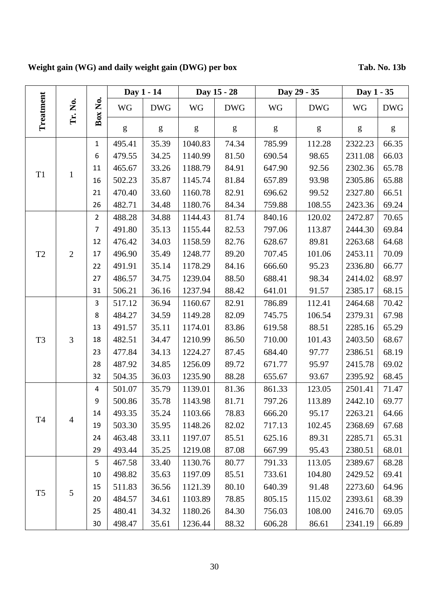# **Weight gain (WG) and daily weight gain (DWG) per box Tab. No. 13b**

|                |                |                |           | Day 1 - 14 |                                                                                                                                                                                                                                                                                                                                                                                                                                | Day 15 - 28 |           | Day 29 - 35 | Day 1 - 35 |            |
|----------------|----------------|----------------|-----------|------------|--------------------------------------------------------------------------------------------------------------------------------------------------------------------------------------------------------------------------------------------------------------------------------------------------------------------------------------------------------------------------------------------------------------------------------|-------------|-----------|-------------|------------|------------|
| Treatment      | Tr. No.        | Box No.        | <b>WG</b> | <b>DWG</b> | <b>WG</b>                                                                                                                                                                                                                                                                                                                                                                                                                      | <b>DWG</b>  | <b>WG</b> | <b>DWG</b>  | <b>WG</b>  | <b>DWG</b> |
|                |                |                | g         | g          | $\mathbf{g}% _{T}=\mathbf{g}_{T}=\mathbf{g}_{T}=\mathbf{g}_{T}=\mathbf{g}_{T}=\mathbf{g}_{T}=\mathbf{g}_{T}=\mathbf{g}_{T}=\mathbf{g}_{T}=\mathbf{g}_{T}=\mathbf{g}_{T}=\mathbf{g}_{T}=\mathbf{g}_{T}=\mathbf{g}_{T}=\mathbf{g}_{T}=\mathbf{g}_{T}=\mathbf{g}_{T}=\mathbf{g}_{T}=\mathbf{g}_{T}=\mathbf{g}_{T}=\mathbf{g}_{T}=\mathbf{g}_{T}=\mathbf{g}_{T}=\mathbf{g}_{T}=\mathbf{g}_{T}=\mathbf{g}_{T}=\mathbf{g}_{T}=\math$ | g           | g         | g           | g          | g          |
|                |                | $\mathbf{1}$   | 495.41    | 35.39      | 1040.83                                                                                                                                                                                                                                                                                                                                                                                                                        | 74.34       | 785.99    | 112.28      | 2322.23    | 66.35      |
|                |                | 6              | 479.55    | 34.25      | 1140.99                                                                                                                                                                                                                                                                                                                                                                                                                        | 81.50       | 690.54    | 98.65       | 2311.08    | 66.03      |
| T <sub>1</sub> | $\mathbf{1}$   | 11             | 465.67    | 33.26      | 1188.79                                                                                                                                                                                                                                                                                                                                                                                                                        | 84.91       | 647.90    | 92.56       | 2302.36    | 65.78      |
|                |                | 16             | 502.23    | 35.87      | 1145.74                                                                                                                                                                                                                                                                                                                                                                                                                        | 81.84       | 657.89    | 93.98       | 2305.86    | 65.88      |
|                |                | 21             | 470.40    | 33.60      | 1160.78                                                                                                                                                                                                                                                                                                                                                                                                                        | 82.91       | 696.62    | 99.52       | 2327.80    | 66.51      |
|                |                | 26             | 482.71    | 34.48      | 1180.76                                                                                                                                                                                                                                                                                                                                                                                                                        | 84.34       | 759.88    | 108.55      | 2423.36    | 69.24      |
|                |                | $\overline{2}$ | 488.28    | 34.88      | 1144.43                                                                                                                                                                                                                                                                                                                                                                                                                        | 81.74       | 840.16    | 120.02      | 2472.87    | 70.65      |
|                |                | 7              | 491.80    | 35.13      | 1155.44                                                                                                                                                                                                                                                                                                                                                                                                                        | 82.53       | 797.06    | 113.87      | 2444.30    | 69.84      |
|                |                | 12             | 476.42    | 34.03      | 1158.59                                                                                                                                                                                                                                                                                                                                                                                                                        | 82.76       | 628.67    | 89.81       | 2263.68    | 64.68      |
| T <sub>2</sub> | $\overline{2}$ | 17             | 496.90    | 35.49      | 1248.77                                                                                                                                                                                                                                                                                                                                                                                                                        | 89.20       | 707.45    | 101.06      | 2453.11    | 70.09      |
|                |                | 22             | 491.91    | 35.14      | 1178.29                                                                                                                                                                                                                                                                                                                                                                                                                        | 84.16       | 666.60    | 95.23       | 2336.80    | 66.77      |
|                |                | 27             | 486.57    | 34.75      | 1239.04                                                                                                                                                                                                                                                                                                                                                                                                                        | 88.50       | 688.41    | 98.34       | 2414.02    | 68.97      |
|                |                | 31             | 506.21    | 36.16      | 1237.94                                                                                                                                                                                                                                                                                                                                                                                                                        | 88.42       | 641.01    | 91.57       | 2385.17    | 68.15      |
|                |                | 3              | 517.12    | 36.94      | 1160.67                                                                                                                                                                                                                                                                                                                                                                                                                        | 82.91       | 786.89    | 112.41      | 2464.68    | 70.42      |
|                |                | 8              | 484.27    | 34.59      | 1149.28                                                                                                                                                                                                                                                                                                                                                                                                                        | 82.09       | 745.75    | 106.54      | 2379.31    | 67.98      |
|                |                | 13             | 491.57    | 35.11      | 1174.01                                                                                                                                                                                                                                                                                                                                                                                                                        | 83.86       | 619.58    | 88.51       | 2285.16    | 65.29      |
| T <sub>3</sub> | $\overline{3}$ | 18             | 482.51    | 34.47      | 1210.99                                                                                                                                                                                                                                                                                                                                                                                                                        | 86.50       | 710.00    | 101.43      | 2403.50    | 68.67      |
|                |                | 23             | 477.84    | 34.13      | 1224.27                                                                                                                                                                                                                                                                                                                                                                                                                        | 87.45       | 684.40    | 97.77       | 2386.51    | 68.19      |
|                |                | 28             | 487.92    | 34.85      | 1256.09                                                                                                                                                                                                                                                                                                                                                                                                                        | 89.72       | 671.77    | 95.97       | 2415.78    | 69.02      |
|                |                | 32             | 504.35    | 36.03      | 1235.90                                                                                                                                                                                                                                                                                                                                                                                                                        | 88.28       | 655.67    | 93.67       | 2395.92    | 68.45      |
|                |                | 4              | 501.07    | 35.79      | 1139.01                                                                                                                                                                                                                                                                                                                                                                                                                        | 81.36       | 861.33    | 123.05      | 2501.41    | 71.47      |
|                |                | 9              | 500.86    | 35.78      | 1143.98                                                                                                                                                                                                                                                                                                                                                                                                                        | 81.71       | 797.26    | 113.89      | 2442.10    | 69.77      |
| <b>T4</b>      | $\overline{4}$ | 14             | 493.35    | 35.24      | 1103.66                                                                                                                                                                                                                                                                                                                                                                                                                        | 78.83       | 666.20    | 95.17       | 2263.21    | 64.66      |
|                |                | 19             | 503.30    | 35.95      | 1148.26                                                                                                                                                                                                                                                                                                                                                                                                                        | 82.02       | 717.13    | 102.45      | 2368.69    | 67.68      |
|                |                | 24             | 463.48    | 33.11      | 1197.07                                                                                                                                                                                                                                                                                                                                                                                                                        | 85.51       | 625.16    | 89.31       | 2285.71    | 65.31      |
|                |                | 29             | 493.44    | 35.25      | 1219.08                                                                                                                                                                                                                                                                                                                                                                                                                        | 87.08       | 667.99    | 95.43       | 2380.51    | 68.01      |
|                |                | 5              | 467.58    | 33.40      | 1130.76                                                                                                                                                                                                                                                                                                                                                                                                                        | 80.77       | 791.33    | 113.05      | 2389.67    | 68.28      |
|                |                | 10             | 498.82    | 35.63      | 1197.09                                                                                                                                                                                                                                                                                                                                                                                                                        | 85.51       | 733.61    | 104.80      | 2429.52    | 69.41      |
|                |                | 15             | 511.83    | 36.56      | 1121.39                                                                                                                                                                                                                                                                                                                                                                                                                        | 80.10       | 640.39    | 91.48       | 2273.60    | 64.96      |
| T <sub>5</sub> | 5              | 20             | 484.57    | 34.61      | 1103.89                                                                                                                                                                                                                                                                                                                                                                                                                        | 78.85       | 805.15    | 115.02      | 2393.61    | 68.39      |
|                |                | 25             | 480.41    | 34.32      | 1180.26                                                                                                                                                                                                                                                                                                                                                                                                                        | 84.30       | 756.03    | 108.00      | 2416.70    | 69.05      |
|                |                | 30             | 498.47    | 35.61      | 1236.44                                                                                                                                                                                                                                                                                                                                                                                                                        | 88.32       | 606.28    | 86.61       | 2341.19    | 66.89      |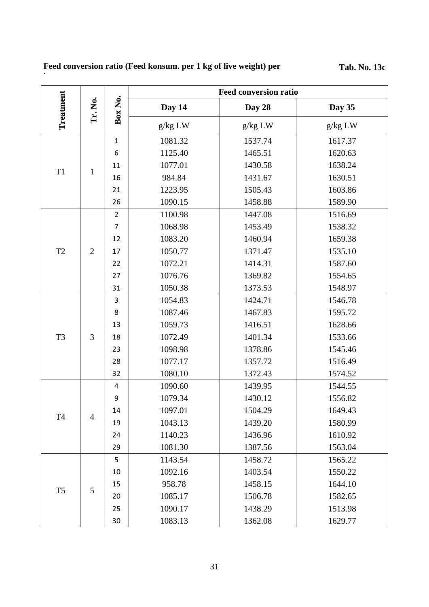### **Feed conversion ratio (Feed konsum. per 1 kg of live weight) per**

**box**

**Tab. No. 13c** 

|                | Tr. No.        | Box No.        | <b>Feed conversion ratio</b> |         |         |  |
|----------------|----------------|----------------|------------------------------|---------|---------|--|
| Treatment      |                |                | Day 14                       | Day 28  | Day 35  |  |
|                |                |                | g/kg LW                      | g/kg LW | g/kg LW |  |
|                |                | $\mathbf{1}$   | 1081.32                      | 1537.74 | 1617.37 |  |
| T <sub>1</sub> | $\mathbf{1}$   | 6              | 1125.40                      | 1465.51 | 1620.63 |  |
|                |                | 11             | 1077.01                      | 1430.58 | 1638.24 |  |
|                |                | 16             | 984.84                       | 1431.67 | 1630.51 |  |
|                |                | 21             | 1223.95                      | 1505.43 | 1603.86 |  |
|                |                | 26             | 1090.15                      | 1458.88 | 1589.90 |  |
|                |                | $\overline{2}$ | 1100.98                      | 1447.08 | 1516.69 |  |
|                |                | $\overline{7}$ | 1068.98                      | 1453.49 | 1538.32 |  |
|                |                | 12             | 1083.20                      | 1460.94 | 1659.38 |  |
| T2             | $\overline{2}$ | 17             | 1050.77                      | 1371.47 | 1535.10 |  |
|                |                | 22             | 1072.21                      | 1414.31 | 1587.60 |  |
|                |                | 27             | 1076.76                      | 1369.82 | 1554.65 |  |
|                |                | 31             | 1050.38                      | 1373.53 | 1548.97 |  |
|                | 3              | 3              | 1054.83                      | 1424.71 | 1546.78 |  |
|                |                | 8              | 1087.46                      | 1467.83 | 1595.72 |  |
|                |                | 13             | 1059.73                      | 1416.51 | 1628.66 |  |
| T <sub>3</sub> |                | 18             | 1072.49                      | 1401.34 | 1533.66 |  |
|                |                | 23             | 1098.98                      | 1378.86 | 1545.46 |  |
|                |                | 28             | 1077.17                      | 1357.72 | 1516.49 |  |
|                |                | 32             | 1080.10                      | 1372.43 | 1574.52 |  |
| <b>T4</b>      | $\overline{4}$ | 4              | 1090.60                      | 1439.95 | 1544.55 |  |
|                |                | 9              | 1079.34                      | 1430.12 | 1556.82 |  |
|                |                | 14             | 1097.01                      | 1504.29 | 1649.43 |  |
|                |                | 19             | 1043.13                      | 1439.20 | 1580.99 |  |
|                |                | 24             | 1140.23                      | 1436.96 | 1610.92 |  |
|                |                | 29             | 1081.30                      | 1387.56 | 1563.04 |  |
|                | 5              | 5              | 1143.54                      | 1458.72 | 1565.22 |  |
|                |                | 10             | 1092.16                      | 1403.54 | 1550.22 |  |
|                |                | 15             | 958.78                       | 1458.15 | 1644.10 |  |
| T <sub>5</sub> |                | 20             | 1085.17                      | 1506.78 | 1582.65 |  |
|                |                | 25             | 1090.17                      | 1438.29 | 1513.98 |  |
|                |                | 30             | 1083.13                      | 1362.08 | 1629.77 |  |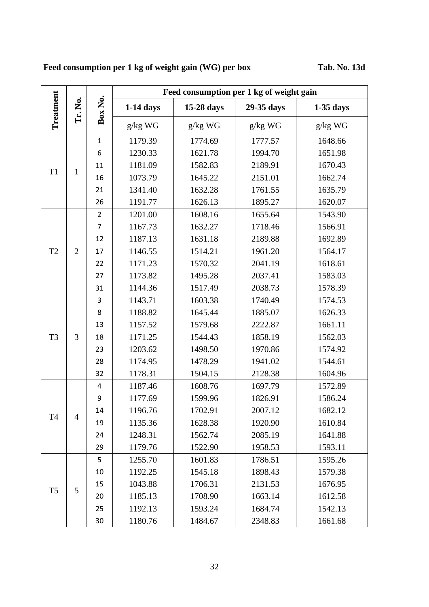# **Feed consumption per 1 kg of weight gain (WG) per box Tab. No. 13d**

| Treatment      | Tr. No.        | Box No.        | Feed consumption per 1 kg of weight gain |            |            |             |  |  |
|----------------|----------------|----------------|------------------------------------------|------------|------------|-------------|--|--|
|                |                |                | $1-14$ days                              | 15-28 days | 29-35 days | $1-35$ days |  |  |
|                |                |                | $g/kg$ $WG$                              | g/kg WG    | g/kg WG    | g/kg WG     |  |  |
|                |                | $\mathbf{1}$   | 1179.39                                  | 1774.69    | 1777.57    | 1648.66     |  |  |
| T <sub>1</sub> |                | 6              | 1230.33                                  | 1621.78    | 1994.70    | 1651.98     |  |  |
|                | $\mathbf{1}$   | 11             | 1181.09                                  | 1582.83    | 2189.91    | 1670.43     |  |  |
|                |                | 16             | 1073.79                                  | 1645.22    | 2151.01    | 1662.74     |  |  |
|                |                | 21             | 1341.40                                  | 1632.28    | 1761.55    | 1635.79     |  |  |
|                |                | 26             | 1191.77                                  | 1626.13    | 1895.27    | 1620.07     |  |  |
|                |                | $\overline{2}$ | 1201.00                                  | 1608.16    | 1655.64    | 1543.90     |  |  |
|                |                | $\overline{7}$ | 1167.73                                  | 1632.27    | 1718.46    | 1566.91     |  |  |
|                |                | 12             | 1187.13                                  | 1631.18    | 2189.88    | 1692.89     |  |  |
| T <sub>2</sub> | $\overline{2}$ | 17             | 1146.55                                  | 1514.21    | 1961.20    | 1564.17     |  |  |
|                |                | 22             | 1171.23                                  | 1570.32    | 2041.19    | 1618.61     |  |  |
|                |                | 27             | 1173.82                                  | 1495.28    | 2037.41    | 1583.03     |  |  |
|                |                | 31             | 1144.36                                  | 1517.49    | 2038.73    | 1578.39     |  |  |
|                |                | 3              | 1143.71                                  | 1603.38    | 1740.49    | 1574.53     |  |  |
|                |                | 8              | 1188.82                                  | 1645.44    | 1885.07    | 1626.33     |  |  |
|                |                | 13             | 1157.52                                  | 1579.68    | 2222.87    | 1661.11     |  |  |
| T <sub>3</sub> | 3              | 18             | 1171.25                                  | 1544.43    | 1858.19    | 1562.03     |  |  |
|                |                | 23             | 1203.62                                  | 1498.50    | 1970.86    | 1574.92     |  |  |
|                |                | 28             | 1174.95                                  | 1478.29    | 1941.02    | 1544.61     |  |  |
|                |                | 32             | 1178.31                                  | 1504.15    | 2128.38    | 1604.96     |  |  |
|                |                | 4              | 1187.46                                  | 1608.76    | 1697.79    | 1572.89     |  |  |
|                | $\overline{4}$ | 9              | 1177.69                                  | 1599.96    | 1826.91    | 1586.24     |  |  |
|                |                | 14             | 1196.76                                  | 1702.91    | 2007.12    | 1682.12     |  |  |
| T4             |                | 19             | 1135.36                                  | 1628.38    | 1920.90    | 1610.84     |  |  |
|                |                | 24             | 1248.31                                  | 1562.74    | 2085.19    | 1641.88     |  |  |
|                |                | 29             | 1179.76                                  | 1522.90    | 1958.53    | 1593.11     |  |  |
|                |                | 5              | 1255.70                                  | 1601.83    | 1786.51    | 1595.26     |  |  |
|                |                | 10             | 1192.25                                  | 1545.18    | 1898.43    | 1579.38     |  |  |
|                |                | 15             | 1043.88                                  | 1706.31    | 2131.53    | 1676.95     |  |  |
| T <sub>5</sub> | 5              | 20             | 1185.13                                  | 1708.90    | 1663.14    | 1612.58     |  |  |
|                |                | 25             | 1192.13                                  | 1593.24    | 1684.74    | 1542.13     |  |  |
|                |                | 30             | 1180.76                                  | 1484.67    | 2348.83    | 1661.68     |  |  |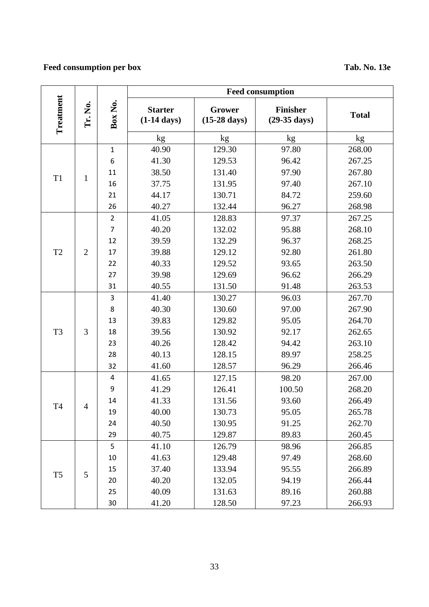# **Feed consumption per box Tab. No. 13e**

|                |                |                | <b>Feed consumption</b>                 |                                  |                                           |              |  |
|----------------|----------------|----------------|-----------------------------------------|----------------------------------|-------------------------------------------|--------------|--|
| Treatment      | Tr. No.        | Box No.        | <b>Starter</b><br>$(1-14 \text{ days})$ | Grower<br>$(15-28 \text{ days})$ | <b>Finisher</b><br>$(29-35 \text{ days})$ | <b>Total</b> |  |
|                |                |                | kg                                      | kg                               | $k\underline{g}$                          | kg           |  |
|                |                | $\mathbf{1}$   | 40.90                                   | 129.30                           | 97.80                                     | 268.00       |  |
| T <sub>1</sub> |                | 6              | 41.30                                   | 129.53                           | 96.42                                     | 267.25       |  |
|                | $\mathbf{1}$   | 11             | 38.50                                   | 131.40                           | 97.90                                     | 267.80       |  |
|                |                | 16             | 37.75                                   | 131.95                           | 97.40                                     | 267.10       |  |
|                |                | 21             | 44.17                                   | 130.71                           | 84.72                                     | 259.60       |  |
|                |                | 26             | 40.27                                   | 132.44                           | 96.27                                     | 268.98       |  |
|                |                | $\overline{2}$ | 41.05                                   | 128.83                           | 97.37                                     | 267.25       |  |
|                |                | $\overline{7}$ | 40.20                                   | 132.02                           | 95.88                                     | 268.10       |  |
|                |                | 12             | 39.59                                   | 132.29                           | 96.37                                     | 268.25       |  |
| T <sub>2</sub> | $\overline{2}$ | 17             | 39.88                                   | 129.12                           | 92.80                                     | 261.80       |  |
|                |                | 22             | 40.33                                   | 129.52                           | 93.65                                     | 263.50       |  |
|                |                | 27             | 39.98                                   | 129.69                           | 96.62                                     | 266.29       |  |
|                |                | 31             | 40.55                                   | 131.50                           | 91.48                                     | 263.53       |  |
|                | 3              | 3              | 41.40                                   | 130.27                           | 96.03                                     | 267.70       |  |
|                |                | 8              | 40.30                                   | 130.60                           | 97.00                                     | 267.90       |  |
|                |                | 13             | 39.83                                   | 129.82                           | 95.05                                     | 264.70       |  |
| T <sub>3</sub> |                | 18             | 39.56                                   | 130.92                           | 92.17                                     | 262.65       |  |
|                |                | 23             | 40.26                                   | 128.42                           | 94.42                                     | 263.10       |  |
|                |                | 28             | 40.13                                   | 128.15                           | 89.97                                     | 258.25       |  |
|                |                | 32             | 41.60                                   | 128.57                           | 96.29                                     | 266.46       |  |
|                | 4              | 4              | 41.65                                   | 127.15                           | 98.20                                     | 267.00       |  |
|                |                | 9              | 41.29                                   | 126.41                           | 100.50                                    | 268.20       |  |
|                |                | 14             | 41.33                                   | 131.56                           | 93.60                                     | 266.49       |  |
| <b>T4</b>      |                | 19             | 40.00                                   | 130.73                           | 95.05                                     | 265.78       |  |
|                |                | 24             | 40.50                                   | 130.95                           | 91.25                                     | 262.70       |  |
|                |                | 29             | 40.75                                   | 129.87                           | 89.83                                     | 260.45       |  |
|                |                | 5              | 41.10                                   | 126.79                           | 98.96                                     | 266.85       |  |
|                |                | 10             | 41.63                                   | 129.48                           | 97.49                                     | 268.60       |  |
|                |                | 15             | 37.40                                   | 133.94                           | 95.55                                     | 266.89       |  |
| T <sub>5</sub> | 5              | 20             | 40.20                                   | 132.05                           | 94.19                                     | 266.44       |  |
|                |                | 25             | 40.09                                   | 131.63                           | 89.16                                     | 260.88       |  |
|                |                | 30             | 41.20                                   | 128.50                           | 97.23                                     | 266.93       |  |